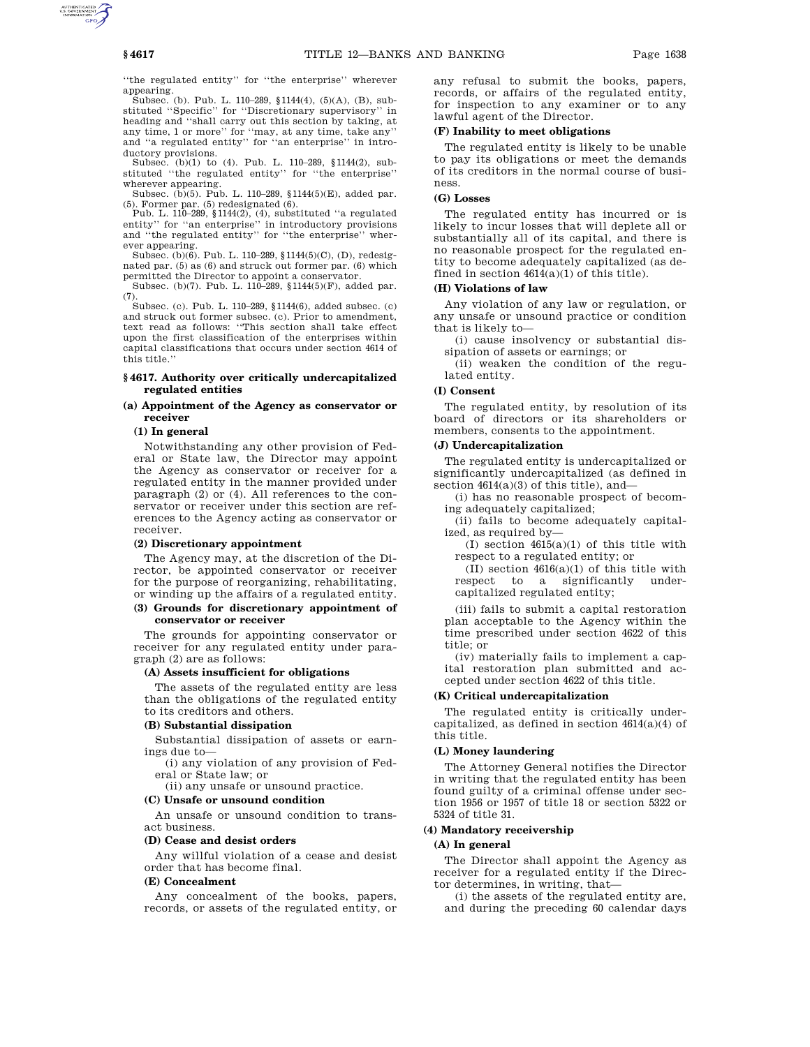''the regulated entity'' for ''the enterprise'' wherever

appearing. Subsec. (b). Pub. L. 110–289, §1144(4), (5)(A), (B), substituted ''Specific'' for ''Discretionary supervisory'' in heading and ''shall carry out this section by taking, at any time, 1 or more'' for ''may, at any time, take any'' and "a regulated entity" for "an enterprise" in intro-<br>and "a regulated entity" for "an enterprise" in introductory provisions.

Subsec. (b)(1) to (4). Pub. L. 110–289, §1144(2), substituted ''the regulated entity'' for ''the enterprise'' wherever appearing.

Subsec. (b)(5). Pub. L. 110–289, §1144(5)(E), added par. (5). Former par. (5) redesignated (6).

Pub. L. 110–289, §1144(2), (4), substituted ''a regulated entity'' for ''an enterprise'' in introductory provisions and ''the regulated entity'' for ''the enterprise'' wherever appearing.

Subsec. (b)(6). Pub. L. 110–289, §1144(5)(C), (D), redesignated par. (5) as (6) and struck out former par. (6) which permitted the Director to appoint a conservator.

Subsec. (b)(7). Pub. L. 110–289, §1144(5)(F), added par. (7).

Subsec. (c). Pub. L. 110–289, §1144(6), added subsec. (c) and struck out former subsec. (c). Prior to amendment, text read as follows: ''This section shall take effect upon the first classification of the enterprises within capital classifications that occurs under section 4614 of this title.''

#### **§ 4617. Authority over critically undercapitalized regulated entities**

### **(a) Appointment of the Agency as conservator or receiver**

#### **(1) In general**

Notwithstanding any other provision of Federal or State law, the Director may appoint the Agency as conservator or receiver for a regulated entity in the manner provided under paragraph (2) or (4). All references to the conservator or receiver under this section are references to the Agency acting as conservator or receiver.

### **(2) Discretionary appointment**

The Agency may, at the discretion of the Director, be appointed conservator or receiver for the purpose of reorganizing, rehabilitating, or winding up the affairs of a regulated entity.

### **(3) Grounds for discretionary appointment of conservator or receiver**

The grounds for appointing conservator or receiver for any regulated entity under paragraph (2) are as follows:

#### **(A) Assets insufficient for obligations**

The assets of the regulated entity are less than the obligations of the regulated entity to its creditors and others.

### **(B) Substantial dissipation**

Substantial dissipation of assets or earnings due to—

(i) any violation of any provision of Federal or State law; or

(ii) any unsafe or unsound practice.

# **(C) Unsafe or unsound condition**

An unsafe or unsound condition to transact business.

### **(D) Cease and desist orders**

Any willful violation of a cease and desist order that has become final.

### **(E) Concealment**

Any concealment of the books, papers, records, or assets of the regulated entity, or any refusal to submit the books, papers, records, or affairs of the regulated entity, for inspection to any examiner or to any lawful agent of the Director.

#### **(F) Inability to meet obligations**

The regulated entity is likely to be unable to pay its obligations or meet the demands of its creditors in the normal course of business.

### **(G) Losses**

The regulated entity has incurred or is likely to incur losses that will deplete all or substantially all of its capital, and there is no reasonable prospect for the regulated entity to become adequately capitalized (as defined in section  $4614(a)(1)$  of this title).

### **(H) Violations of law**

Any violation of any law or regulation, or any unsafe or unsound practice or condition that is likely to—

(i) cause insolvency or substantial dissipation of assets or earnings; or

(ii) weaken the condition of the regulated entity.

### **(I) Consent**

The regulated entity, by resolution of its board of directors or its shareholders or members, consents to the appointment.

#### **(J) Undercapitalization**

The regulated entity is undercapitalized or significantly undercapitalized (as defined in section  $4614(a)(3)$  of this title), and-

- (i) has no reasonable prospect of becoming adequately capitalized;
- (ii) fails to become adequately capitalized, as required by—

(I) section 4615(a)(1) of this title with respect to a regulated entity; or

 $(\overline{II})$  section 4616(a)(1) of this title with<br>respect to a significantly undersignificantly capitalized regulated entity;

(iii) fails to submit a capital restoration plan acceptable to the Agency within the time prescribed under section 4622 of this title; or

(iv) materially fails to implement a capital restoration plan submitted and accepted under section 4622 of this title.

#### **(K) Critical undercapitalization**

The regulated entity is critically undercapitalized, as defined in section 4614(a)(4) of this title.

#### **(L) Money laundering**

The Attorney General notifies the Director in writing that the regulated entity has been found guilty of a criminal offense under section 1956 or 1957 of title 18 or section 5322 or 5324 of title 31.

### **(4) Mandatory receivership**

### **(A) In general**

The Director shall appoint the Agency as receiver for a regulated entity if the Director determines, in writing, that—

(i) the assets of the regulated entity are, and during the preceding 60 calendar days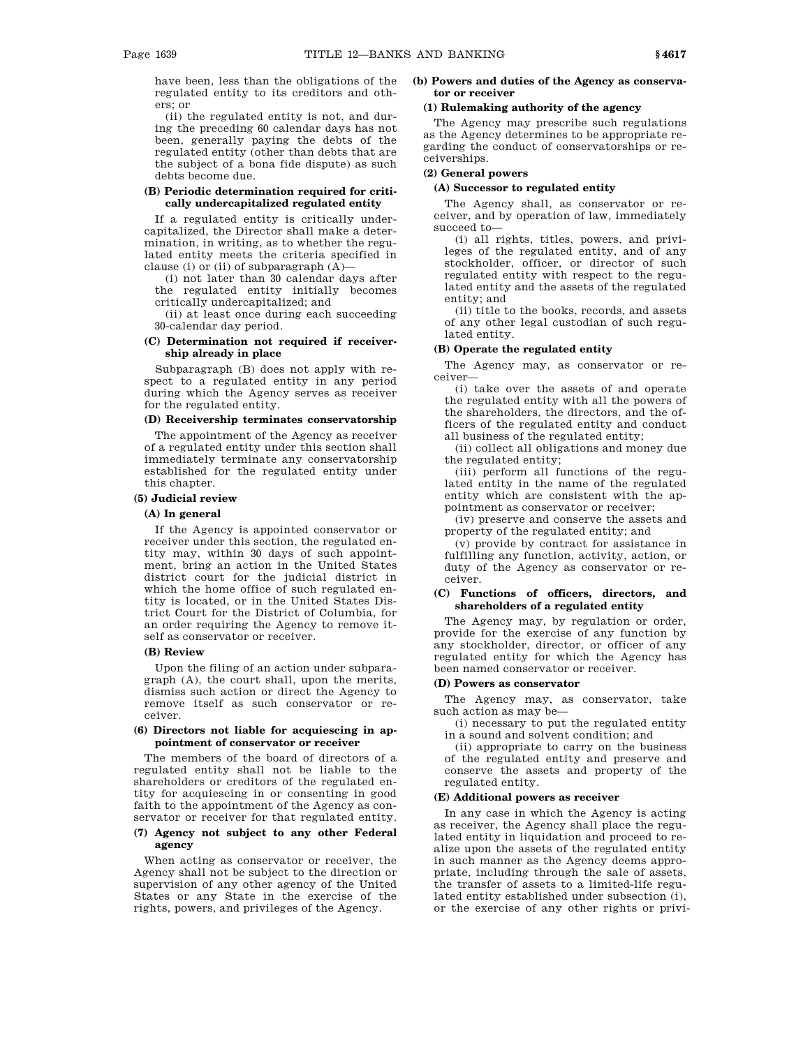have been, less than the obligations of the regulated entity to its creditors and others; or

(ii) the regulated entity is not, and during the preceding 60 calendar days has not been, generally paying the debts of the regulated entity (other than debts that are the subject of a bona fide dispute) as such debts become due.

### **(B) Periodic determination required for critically undercapitalized regulated entity**

If a regulated entity is critically undercapitalized, the Director shall make a determination, in writing, as to whether the regulated entity meets the criteria specified in clause (i) or (ii) of subparagraph (A)—

(i) not later than 30 calendar days after the regulated entity initially becomes critically undercapitalized; and

(ii) at least once during each succeeding 30-calendar day period.

### **(C) Determination not required if receivership already in place**

Subparagraph (B) does not apply with respect to a regulated entity in any period during which the Agency serves as receiver for the regulated entity.

### **(D) Receivership terminates conservatorship**

The appointment of the Agency as receiver of a regulated entity under this section shall immediately terminate any conservatorship established for the regulated entity under this chapter.

### **(5) Judicial review**

### **(A) In general**

If the Agency is appointed conservator or receiver under this section, the regulated entity may, within 30 days of such appointment, bring an action in the United States district court for the judicial district in which the home office of such regulated entity is located, or in the United States District Court for the District of Columbia, for an order requiring the Agency to remove itself as conservator or receiver.

#### **(B) Review**

Upon the filing of an action under subparagraph (A), the court shall, upon the merits, dismiss such action or direct the Agency to remove itself as such conservator or receiver.

### **(6) Directors not liable for acquiescing in appointment of conservator or receiver**

The members of the board of directors of a regulated entity shall not be liable to the shareholders or creditors of the regulated entity for acquiescing in or consenting in good faith to the appointment of the Agency as conservator or receiver for that regulated entity.

### **(7) Agency not subject to any other Federal agency**

When acting as conservator or receiver, the Agency shall not be subject to the direction or supervision of any other agency of the United States or any State in the exercise of the rights, powers, and privileges of the Agency.

#### **(b) Powers and duties of the Agency as conservator or receiver**

### **(1) Rulemaking authority of the agency**

The Agency may prescribe such regulations as the Agency determines to be appropriate regarding the conduct of conservatorships or receiverships.

### **(2) General powers**

### **(A) Successor to regulated entity**

The Agency shall, as conservator or receiver, and by operation of law, immediately succeed to—

(i) all rights, titles, powers, and privileges of the regulated entity, and of any stockholder, officer, or director of such regulated entity with respect to the regulated entity and the assets of the regulated entity; and

(ii) title to the books, records, and assets of any other legal custodian of such regulated entity.

#### **(B) Operate the regulated entity**

The Agency may, as conservator or receiver—

(i) take over the assets of and operate the regulated entity with all the powers of the shareholders, the directors, and the officers of the regulated entity and conduct all business of the regulated entity;

(ii) collect all obligations and money due the regulated entity;

(iii) perform all functions of the regulated entity in the name of the regulated entity which are consistent with the appointment as conservator or receiver;

(iv) preserve and conserve the assets and property of the regulated entity; and

(v) provide by contract for assistance in fulfilling any function, activity, action, or duty of the Agency as conservator or receiver.

### **(C) Functions of officers, directors, and shareholders of a regulated entity**

The Agency may, by regulation or order, provide for the exercise of any function by any stockholder, director, or officer of any regulated entity for which the Agency has been named conservator or receiver.

#### **(D) Powers as conservator**

The Agency may, as conservator, take such action as may be—

(i) necessary to put the regulated entity in a sound and solvent condition; and

(ii) appropriate to carry on the business of the regulated entity and preserve and conserve the assets and property of the regulated entity.

#### **(E) Additional powers as receiver**

In any case in which the Agency is acting as receiver, the Agency shall place the regulated entity in liquidation and proceed to realize upon the assets of the regulated entity in such manner as the Agency deems appropriate, including through the sale of assets, the transfer of assets to a limited-life regulated entity established under subsection (i), or the exercise of any other rights or privi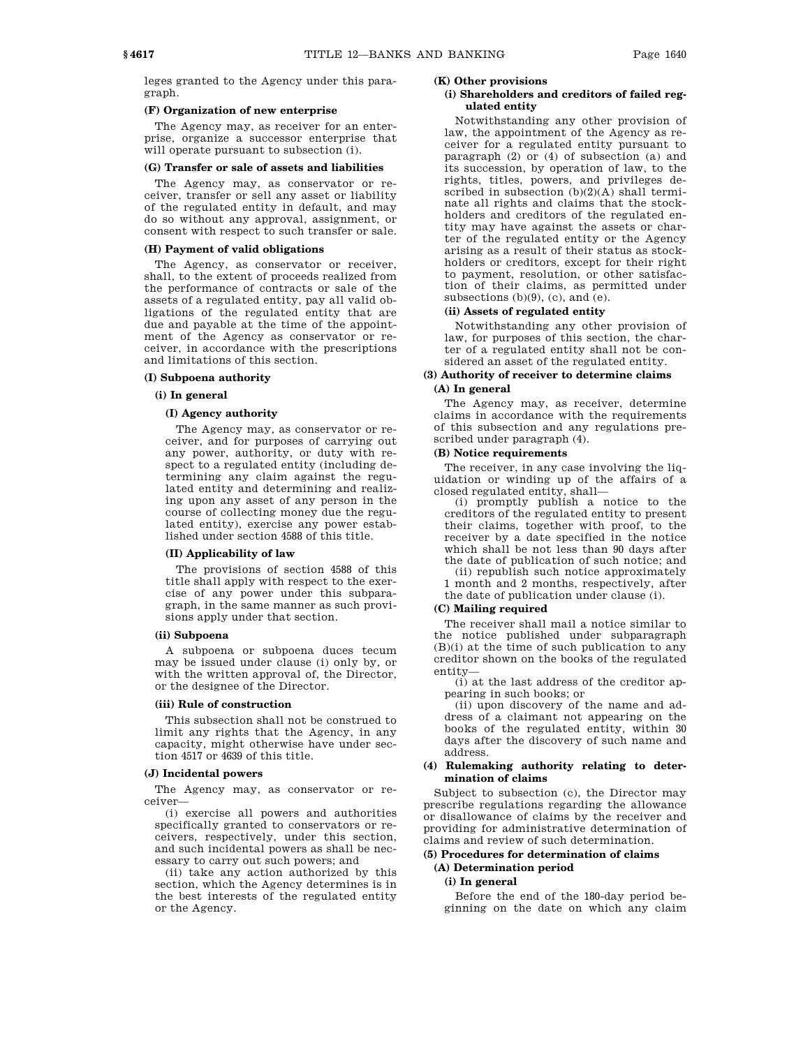leges granted to the Agency under this paragraph.

#### **(F) Organization of new enterprise**

The Agency may, as receiver for an enterprise, organize a successor enterprise that will operate pursuant to subsection (i).

### **(G) Transfer or sale of assets and liabilities**

The Agency may, as conservator or receiver, transfer or sell any asset or liability of the regulated entity in default, and may do so without any approval, assignment, or consent with respect to such transfer or sale.

#### **(H) Payment of valid obligations**

The Agency, as conservator or receiver, shall, to the extent of proceeds realized from the performance of contracts or sale of the assets of a regulated entity, pay all valid obligations of the regulated entity that are due and payable at the time of the appointment of the Agency as conservator or receiver, in accordance with the prescriptions and limitations of this section.

### **(I) Subpoena authority**

#### **(i) In general**

#### **(I) Agency authority**

The Agency may, as conservator or receiver, and for purposes of carrying out any power, authority, or duty with respect to a regulated entity (including determining any claim against the regulated entity and determining and realizing upon any asset of any person in the course of collecting money due the regulated entity), exercise any power established under section 4588 of this title.

#### **(II) Applicability of law**

The provisions of section 4588 of this title shall apply with respect to the exercise of any power under this subparagraph, in the same manner as such provisions apply under that section.

#### **(ii) Subpoena**

A subpoena or subpoena duces tecum may be issued under clause (i) only by, or with the written approval of, the Director, or the designee of the Director.

#### **(iii) Rule of construction**

This subsection shall not be construed to limit any rights that the Agency, in any capacity, might otherwise have under section 4517 or 4639 of this title.

#### **(J) Incidental powers**

The Agency may, as conservator or receiver—

(i) exercise all powers and authorities specifically granted to conservators or receivers, respectively, under this section, and such incidental powers as shall be necessary to carry out such powers; and

(ii) take any action authorized by this section, which the Agency determines is in the best interests of the regulated entity or the Agency.

### **(K) Other provisions**

### **(i) Shareholders and creditors of failed regulated entity**

Notwithstanding any other provision of law, the appointment of the Agency as receiver for a regulated entity pursuant to paragraph (2) or (4) of subsection (a) and its succession, by operation of law, to the rights, titles, powers, and privileges described in subsection  $(b)(2)(A)$  shall terminate all rights and claims that the stockholders and creditors of the regulated entity may have against the assets or charter of the regulated entity or the Agency arising as a result of their status as stockholders or creditors, except for their right to payment, resolution, or other satisfaction of their claims, as permitted under subsections  $(b)(9)$ ,  $(c)$ , and  $(e)$ .

### **(ii) Assets of regulated entity**

Notwithstanding any other provision of law, for purposes of this section, the charter of a regulated entity shall not be considered an asset of the regulated entity.

### **(3) Authority of receiver to determine claims (A) In general**

The Agency may, as receiver, determine claims in accordance with the requirements of this subsection and any regulations prescribed under paragraph (4).

#### **(B) Notice requirements**

The receiver, in any case involving the liquidation or winding up of the affairs of a closed regulated entity, shall—

(i) promptly publish a notice to the creditors of the regulated entity to present their claims, together with proof, to the receiver by a date specified in the notice which shall be not less than 90 days after the date of publication of such notice; and

(ii) republish such notice approximately 1 month and 2 months, respectively, after the date of publication under clause (i).

#### **(C) Mailing required**

The receiver shall mail a notice similar to the notice published under subparagraph (B)(i) at the time of such publication to any creditor shown on the books of the regulated entity—

(i) at the last address of the creditor appearing in such books; or

(ii) upon discovery of the name and address of a claimant not appearing on the books of the regulated entity, within 30 days after the discovery of such name and address.

#### **(4) Rulemaking authority relating to determination of claims**

Subject to subsection (c), the Director may prescribe regulations regarding the allowance or disallowance of claims by the receiver and providing for administrative determination of claims and review of such determination.

# **(5) Procedures for determination of claims**

# **(A) Determination period**

# **(i) In general**

Before the end of the 180-day period beginning on the date on which any claim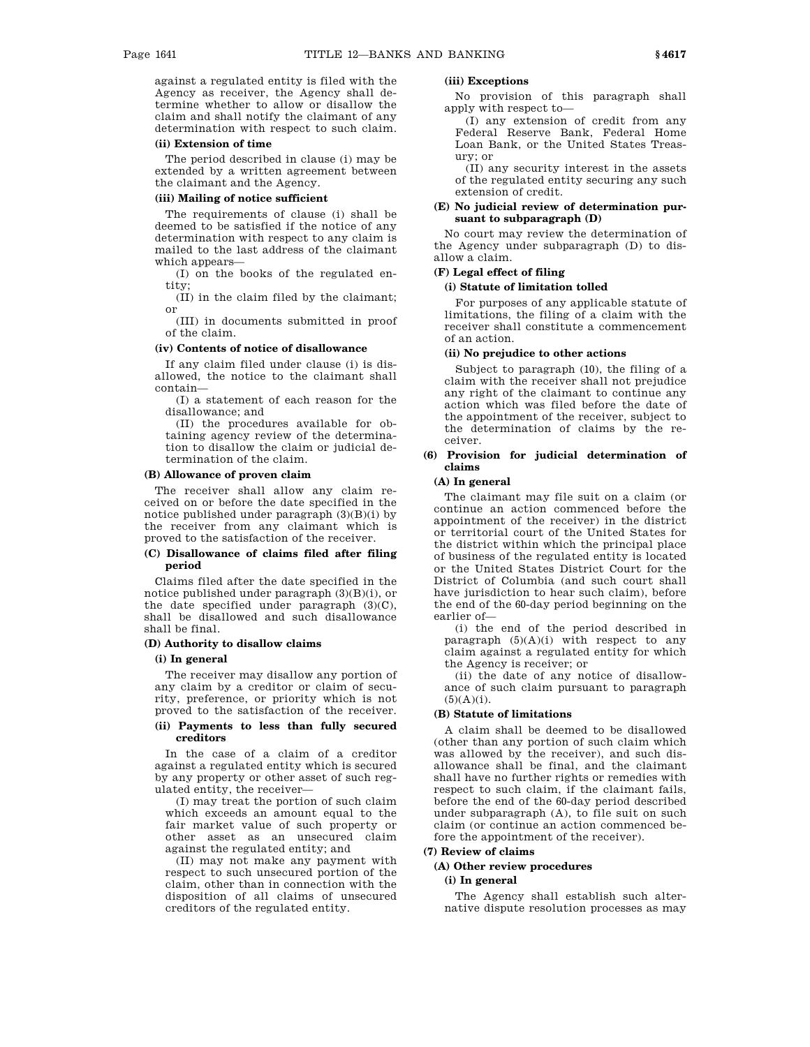against a regulated entity is filed with the Agency as receiver, the Agency shall determine whether to allow or disallow the claim and shall notify the claimant of any determination with respect to such claim.

#### **(ii) Extension of time**

The period described in clause (i) may be extended by a written agreement between the claimant and the Agency.

#### **(iii) Mailing of notice sufficient**

The requirements of clause (i) shall be deemed to be satisfied if the notice of any determination with respect to any claim is mailed to the last address of the claimant which appears—

(I) on the books of the regulated entity;

(II) in the claim filed by the claimant; or

(III) in documents submitted in proof of the claim.

### **(iv) Contents of notice of disallowance**

If any claim filed under clause (i) is disallowed, the notice to the claimant shall contain—

(I) a statement of each reason for the disallowance; and

(II) the procedures available for obtaining agency review of the determination to disallow the claim or judicial determination of the claim.

### **(B) Allowance of proven claim**

The receiver shall allow any claim received on or before the date specified in the notice published under paragraph (3)(B)(i) by the receiver from any claimant which is proved to the satisfaction of the receiver.

### **(C) Disallowance of claims filed after filing period**

Claims filed after the date specified in the notice published under paragraph (3)(B)(i), or the date specified under paragraph (3)(C), shall be disallowed and such disallowance shall be final.

#### **(D) Authority to disallow claims**

### **(i) In general**

The receiver may disallow any portion of any claim by a creditor or claim of security, preference, or priority which is not proved to the satisfaction of the receiver.

### **(ii) Payments to less than fully secured creditors**

In the case of a claim of a creditor against a regulated entity which is secured by any property or other asset of such regulated entity, the receiver—

(I) may treat the portion of such claim which exceeds an amount equal to the fair market value of such property or other asset as an unsecured claim against the regulated entity; and

(II) may not make any payment with respect to such unsecured portion of the claim, other than in connection with the disposition of all claims of unsecured creditors of the regulated entity.

### **(iii) Exceptions**

No provision of this paragraph shall apply with respect to—

(I) any extension of credit from any Federal Reserve Bank, Federal Home Loan Bank, or the United States Treasury; or

(II) any security interest in the assets of the regulated entity securing any such extension of credit.

### **(E) No judicial review of determination pursuant to subparagraph (D)**

No court may review the determination of the Agency under subparagraph (D) to disallow a claim.

### **(F) Legal effect of filing**

### **(i) Statute of limitation tolled**

For purposes of any applicable statute of limitations, the filing of a claim with the receiver shall constitute a commencement of an action.

#### **(ii) No prejudice to other actions**

Subject to paragraph (10), the filing of a claim with the receiver shall not prejudice any right of the claimant to continue any action which was filed before the date of the appointment of the receiver, subject to the determination of claims by the receiver.

### **(6) Provision for judicial determination of claims**

### **(A) In general**

The claimant may file suit on a claim (or continue an action commenced before the appointment of the receiver) in the district or territorial court of the United States for the district within which the principal place of business of the regulated entity is located or the United States District Court for the District of Columbia (and such court shall have jurisdiction to hear such claim), before the end of the 60-day period beginning on the earlier of—

(i) the end of the period described in paragraph  $(5)(A)(i)$  with respect to any claim against a regulated entity for which the Agency is receiver; or

(ii) the date of any notice of disallowance of such claim pursuant to paragraph  $(5)(A)(i)$ .

### **(B) Statute of limitations**

A claim shall be deemed to be disallowed (other than any portion of such claim which was allowed by the receiver), and such disallowance shall be final, and the claimant shall have no further rights or remedies with respect to such claim, if the claimant fails, before the end of the 60-day period described under subparagraph (A), to file suit on such claim (or continue an action commenced before the appointment of the receiver).

# **(7) Review of claims**

### **(A) Other review procedures**

### **(i) In general**

The Agency shall establish such alternative dispute resolution processes as may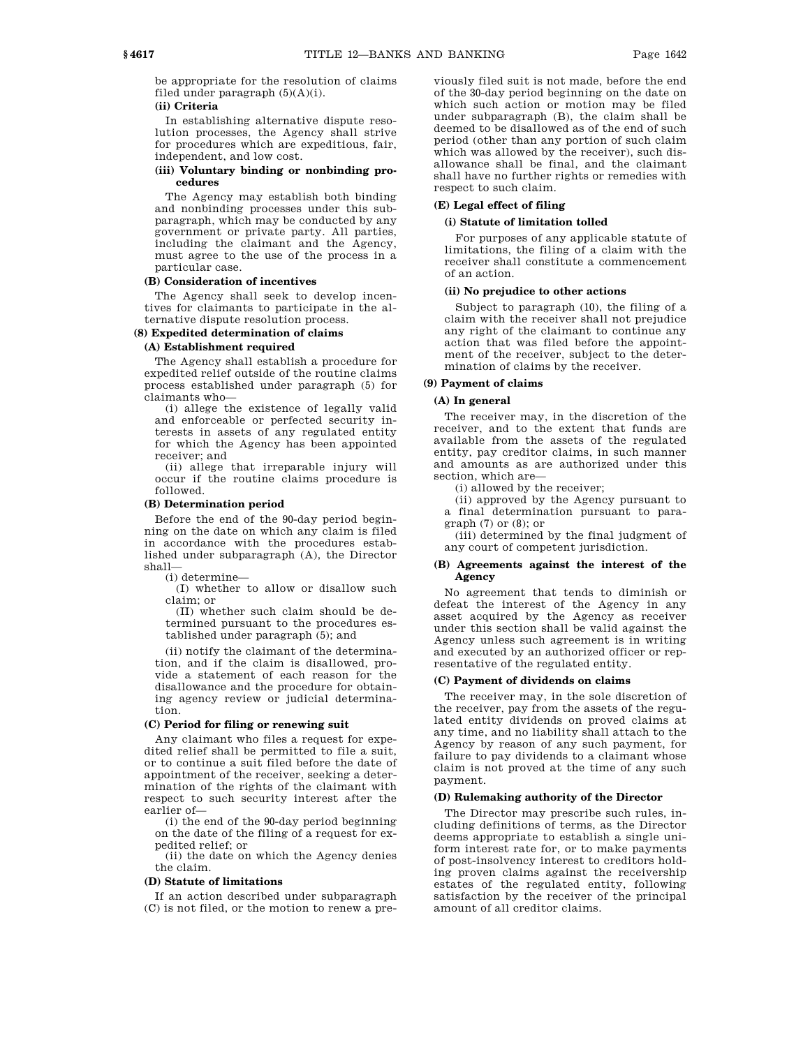be appropriate for the resolution of claims filed under paragraph (5)(A)(i).

### **(ii) Criteria**

In establishing alternative dispute resolution processes, the Agency shall strive for procedures which are expeditious, fair, independent, and low cost.

#### **(iii) Voluntary binding or nonbinding procedures**

The Agency may establish both binding and nonbinding processes under this subparagraph, which may be conducted by any government or private party. All parties, including the claimant and the Agency, must agree to the use of the process in a particular case.

### **(B) Consideration of incentives**

The Agency shall seek to develop incentives for claimants to participate in the alternative dispute resolution process.

### **(8) Expedited determination of claims**

# **(A) Establishment required**

The Agency shall establish a procedure for expedited relief outside of the routine claims process established under paragraph (5) for claimants who—

(i) allege the existence of legally valid and enforceable or perfected security interests in assets of any regulated entity for which the Agency has been appointed receiver; and

(ii) allege that irreparable injury will occur if the routine claims procedure is followed.

#### **(B) Determination period**

Before the end of the 90-day period beginning on the date on which any claim is filed in accordance with the procedures established under subparagraph (A), the Director shall—

(i) determine—

(I) whether to allow or disallow such claim; or

(II) whether such claim should be determined pursuant to the procedures established under paragraph (5); and

(ii) notify the claimant of the determination, and if the claim is disallowed, provide a statement of each reason for the disallowance and the procedure for obtaining agency review or judicial determination.

### **(C) Period for filing or renewing suit**

Any claimant who files a request for expedited relief shall be permitted to file a suit, or to continue a suit filed before the date of appointment of the receiver, seeking a determination of the rights of the claimant with respect to such security interest after the earlier of—

(i) the end of the 90-day period beginning on the date of the filing of a request for expedited relief; or

(ii) the date on which the Agency denies the claim.

#### **(D) Statute of limitations**

If an action described under subparagraph (C) is not filed, or the motion to renew a previously filed suit is not made, before the end of the 30-day period beginning on the date on which such action or motion may be filed under subparagraph (B), the claim shall be deemed to be disallowed as of the end of such period (other than any portion of such claim which was allowed by the receiver), such disallowance shall be final, and the claimant shall have no further rights or remedies with respect to such claim.

### **(E) Legal effect of filing**

#### **(i) Statute of limitation tolled**

For purposes of any applicable statute of limitations, the filing of a claim with the receiver shall constitute a commencement of an action.

### **(ii) No prejudice to other actions**

Subject to paragraph (10), the filing of a claim with the receiver shall not prejudice any right of the claimant to continue any action that was filed before the appointment of the receiver, subject to the determination of claims by the receiver.

### **(9) Payment of claims**

### **(A) In general**

The receiver may, in the discretion of the receiver, and to the extent that funds are available from the assets of the regulated entity, pay creditor claims, in such manner and amounts as are authorized under this section, which are—

(i) allowed by the receiver;

(ii) approved by the Agency pursuant to a final determination pursuant to paragraph  $(7)$  or  $(8)$ ; or

(iii) determined by the final judgment of any court of competent jurisdiction.

#### **(B) Agreements against the interest of the Agency**

No agreement that tends to diminish or defeat the interest of the Agency in any asset acquired by the Agency as receiver under this section shall be valid against the Agency unless such agreement is in writing and executed by an authorized officer or representative of the regulated entity.

#### **(C) Payment of dividends on claims**

The receiver may, in the sole discretion of the receiver, pay from the assets of the regulated entity dividends on proved claims at any time, and no liability shall attach to the Agency by reason of any such payment, for failure to pay dividends to a claimant whose claim is not proved at the time of any such payment.

### **(D) Rulemaking authority of the Director**

The Director may prescribe such rules, including definitions of terms, as the Director deems appropriate to establish a single uniform interest rate for, or to make payments of post-insolvency interest to creditors holding proven claims against the receivership estates of the regulated entity, following satisfaction by the receiver of the principal amount of all creditor claims.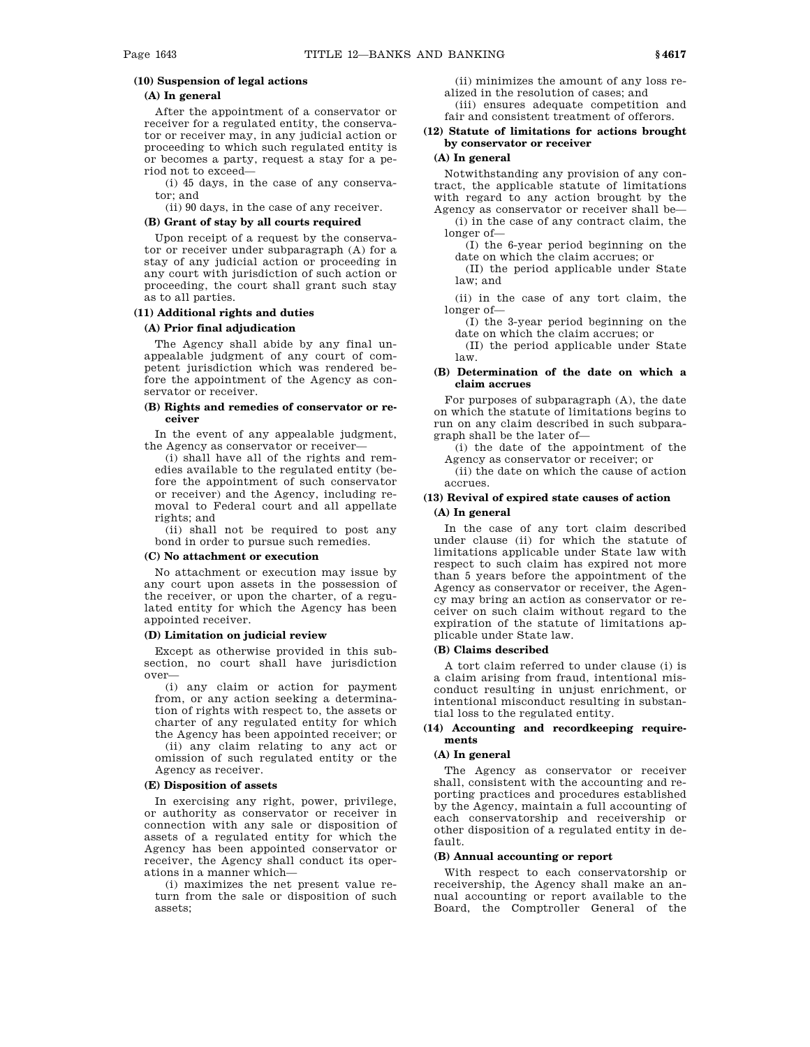### **(10) Suspension of legal actions**

### **(A) In general**

After the appointment of a conservator or receiver for a regulated entity, the conservator or receiver may, in any judicial action or proceeding to which such regulated entity is or becomes a party, request a stay for a period not to exceed—

(i) 45 days, in the case of any conservator; and

(ii) 90 days, in the case of any receiver.

#### **(B) Grant of stay by all courts required**

Upon receipt of a request by the conservator or receiver under subparagraph (A) for a stay of any judicial action or proceeding in any court with jurisdiction of such action or proceeding, the court shall grant such stay as to all parties.

#### **(11) Additional rights and duties**

### **(A) Prior final adjudication**

The Agency shall abide by any final unappealable judgment of any court of competent jurisdiction which was rendered before the appointment of the Agency as conservator or receiver.

#### **(B) Rights and remedies of conservator or receiver**

In the event of any appealable judgment, the Agency as conservator or receiver—

(i) shall have all of the rights and remedies available to the regulated entity (before the appointment of such conservator or receiver) and the Agency, including removal to Federal court and all appellate rights; and

(ii) shall not be required to post any bond in order to pursue such remedies.

#### **(C) No attachment or execution**

No attachment or execution may issue by any court upon assets in the possession of the receiver, or upon the charter, of a regulated entity for which the Agency has been appointed receiver.

#### **(D) Limitation on judicial review**

Except as otherwise provided in this subsection, no court shall have jurisdiction over—

(i) any claim or action for payment from, or any action seeking a determination of rights with respect to, the assets or charter of any regulated entity for which the Agency has been appointed receiver; or

(ii) any claim relating to any act or omission of such regulated entity or the Agency as receiver.

#### **(E) Disposition of assets**

In exercising any right, power, privilege, or authority as conservator or receiver in connection with any sale or disposition of assets of a regulated entity for which the Agency has been appointed conservator or receiver, the Agency shall conduct its operations in a manner which—

(i) maximizes the net present value return from the sale or disposition of such assets;

(ii) minimizes the amount of any loss realized in the resolution of cases; and

(iii) ensures adequate competition and fair and consistent treatment of offerors.

### **(12) Statute of limitations for actions brought by conservator or receiver**

### **(A) In general**

Notwithstanding any provision of any contract, the applicable statute of limitations with regard to any action brought by the Agency as conservator or receiver shall be—

(i) in the case of any contract claim, the longer of—

(I) the 6-year period beginning on the date on which the claim accrues; or

(II) the period applicable under State law; and

(ii) in the case of any tort claim, the longer of—

(I) the 3-year period beginning on the date on which the claim accrues; or

(II) the period applicable under State law.

#### **(B) Determination of the date on which a claim accrues**

For purposes of subparagraph (A), the date on which the statute of limitations begins to run on any claim described in such subparagraph shall be the later of—

(i) the date of the appointment of the Agency as conservator or receiver; or

(ii) the date on which the cause of action accrues.

### **(13) Revival of expired state causes of action (A) In general**

In the case of any tort claim described under clause (ii) for which the statute of limitations applicable under State law with respect to such claim has expired not more than 5 years before the appointment of the Agency as conservator or receiver, the Agency may bring an action as conservator or receiver on such claim without regard to the expiration of the statute of limitations applicable under State law.

### **(B) Claims described**

A tort claim referred to under clause (i) is a claim arising from fraud, intentional misconduct resulting in unjust enrichment, or intentional misconduct resulting in substantial loss to the regulated entity.

#### **(14) Accounting and recordkeeping requirements**

#### **(A) In general**

The Agency as conservator or receiver shall, consistent with the accounting and reporting practices and procedures established by the Agency, maintain a full accounting of each conservatorship and receivership or other disposition of a regulated entity in default.

#### **(B) Annual accounting or report**

With respect to each conservatorship or receivership, the Agency shall make an annual accounting or report available to the Board, the Comptroller General of the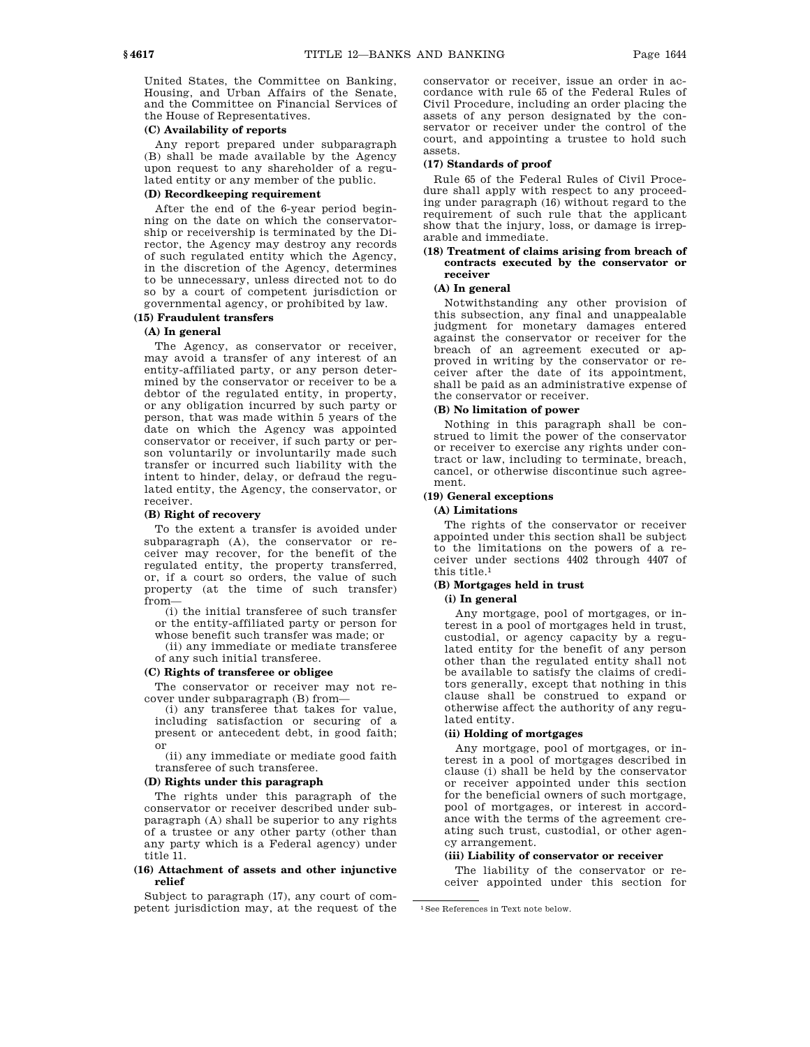United States, the Committee on Banking, Housing, and Urban Affairs of the Senate, and the Committee on Financial Services of the House of Representatives.

## **(C) Availability of reports**

Any report prepared under subparagraph (B) shall be made available by the Agency upon request to any shareholder of a regulated entity or any member of the public.

### **(D) Recordkeeping requirement**

After the end of the 6-year period beginning on the date on which the conservatorship or receivership is terminated by the Director, the Agency may destroy any records of such regulated entity which the Agency, in the discretion of the Agency, determines to be unnecessary, unless directed not to do so by a court of competent jurisdiction or governmental agency, or prohibited by law.

### **(15) Fraudulent transfers**

### **(A) In general**

The Agency, as conservator or receiver, may avoid a transfer of any interest of an entity-affiliated party, or any person determined by the conservator or receiver to be a debtor of the regulated entity, in property, or any obligation incurred by such party or person, that was made within 5 years of the date on which the Agency was appointed conservator or receiver, if such party or person voluntarily or involuntarily made such transfer or incurred such liability with the intent to hinder, delay, or defraud the regulated entity, the Agency, the conservator, or receiver.

### **(B) Right of recovery**

To the extent a transfer is avoided under subparagraph (A), the conservator or receiver may recover, for the benefit of the regulated entity, the property transferred, or, if a court so orders, the value of such property (at the time of such transfer) from—

(i) the initial transferee of such transfer or the entity-affiliated party or person for whose benefit such transfer was made; or

(ii) any immediate or mediate transferee

of any such initial transferee.

#### **(C) Rights of transferee or obligee**

The conservator or receiver may not recover under subparagraph (B) from—

(i) any transferee that takes for value, including satisfaction or securing of a present or antecedent debt, in good faith; or

(ii) any immediate or mediate good faith transferee of such transferee.

#### **(D) Rights under this paragraph**

The rights under this paragraph of the conservator or receiver described under subparagraph (A) shall be superior to any rights of a trustee or any other party (other than any party which is a Federal agency) under title 11.

### **(16) Attachment of assets and other injunctive relief**

Subject to paragraph (17), any court of competent jurisdiction may, at the request of the conservator or receiver, issue an order in accordance with rule 65 of the Federal Rules of Civil Procedure, including an order placing the assets of any person designated by the conservator or receiver under the control of the court, and appointing a trustee to hold such assets.

### **(17) Standards of proof**

Rule 65 of the Federal Rules of Civil Procedure shall apply with respect to any proceeding under paragraph (16) without regard to the requirement of such rule that the applicant show that the injury, loss, or damage is irreparable and immediate.

### **(18) Treatment of claims arising from breach of contracts executed by the conservator or receiver**

### **(A) In general**

Notwithstanding any other provision of this subsection, any final and unappealable judgment for monetary damages entered against the conservator or receiver for the breach of an agreement executed or approved in writing by the conservator or receiver after the date of its appointment, shall be paid as an administrative expense of the conservator or receiver.

#### **(B) No limitation of power**

Nothing in this paragraph shall be construed to limit the power of the conservator or receiver to exercise any rights under contract or law, including to terminate, breach, cancel, or otherwise discontinue such agreement.

### **(19) General exceptions (A) Limitations**

The rights of the conservator or receiver appointed under this section shall be subject to the limitations on the powers of a receiver under sections 4402 through 4407 of this title.1

# **(B) Mortgages held in trust**

### **(i) In general**

Any mortgage, pool of mortgages, or interest in a pool of mortgages held in trust, custodial, or agency capacity by a regulated entity for the benefit of any person other than the regulated entity shall not be available to satisfy the claims of creditors generally, except that nothing in this clause shall be construed to expand or otherwise affect the authority of any regulated entity.

### **(ii) Holding of mortgages**

Any mortgage, pool of mortgages, or interest in a pool of mortgages described in clause (i) shall be held by the conservator or receiver appointed under this section for the beneficial owners of such mortgage, pool of mortgages, or interest in accordance with the terms of the agreement creating such trust, custodial, or other agency arrangement.

### **(iii) Liability of conservator or receiver**

The liability of the conservator or receiver appointed under this section for

<sup>1</sup>See References in Text note below.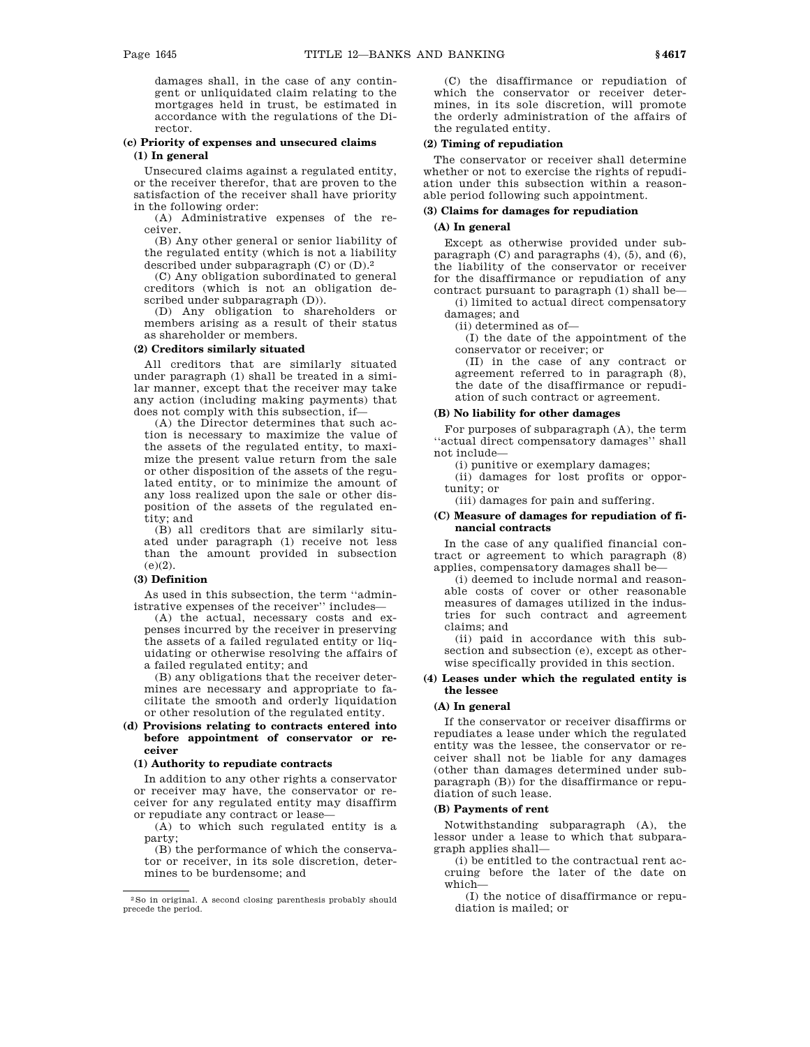damages shall, in the case of any contingent or unliquidated claim relating to the mortgages held in trust, be estimated in accordance with the regulations of the Director.

### **(c) Priority of expenses and unsecured claims (1) In general**

Unsecured claims against a regulated entity, or the receiver therefor, that are proven to the satisfaction of the receiver shall have priority in the following order:

(A) Administrative expenses of the receiver.

(B) Any other general or senior liability of the regulated entity (which is not a liability described under subparagraph (C) or (D).2

(C) Any obligation subordinated to general creditors (which is not an obligation described under subparagraph (D)).

(D) Any obligation to shareholders or members arising as a result of their status as shareholder or members.

### **(2) Creditors similarly situated**

All creditors that are similarly situated under paragraph (1) shall be treated in a similar manner, except that the receiver may take any action (including making payments) that does not comply with this subsection, if—

(A) the Director determines that such action is necessary to maximize the value of the assets of the regulated entity, to maximize the present value return from the sale or other disposition of the assets of the regulated entity, or to minimize the amount of any loss realized upon the sale or other disposition of the assets of the regulated entity; and

(B) all creditors that are similarly situated under paragraph (1) receive not less than the amount provided in subsection  $(e)(2)$ .

### **(3) Definition**

As used in this subsection, the term ''administrative expenses of the receiver'' includes—

(A) the actual, necessary costs and expenses incurred by the receiver in preserving the assets of a failed regulated entity or liquidating or otherwise resolving the affairs of a failed regulated entity; and

(B) any obligations that the receiver determines are necessary and appropriate to facilitate the smooth and orderly liquidation or other resolution of the regulated entity.

#### **(d) Provisions relating to contracts entered into before appointment of conservator or receiver**

### **(1) Authority to repudiate contracts**

In addition to any other rights a conservator or receiver may have, the conservator or receiver for any regulated entity may disaffirm or repudiate any contract or lease—

(A) to which such regulated entity is a party;

(B) the performance of which the conservator or receiver, in its sole discretion, determines to be burdensome; and

(C) the disaffirmance or repudiation of which the conservator or receiver determines, in its sole discretion, will promote the orderly administration of the affairs of the regulated entity.

### **(2) Timing of repudiation**

The conservator or receiver shall determine whether or not to exercise the rights of repudiation under this subsection within a reasonable period following such appointment.

### **(3) Claims for damages for repudiation**

### **(A) In general**

Except as otherwise provided under subparagraph (C) and paragraphs (4), (5), and (6), the liability of the conservator or receiver for the disaffirmance or repudiation of any contract pursuant to paragraph (1) shall be—

(i) limited to actual direct compensatory damages; and

(ii) determined as of—

(I) the date of the appointment of the conservator or receiver; or

(II) in the case of any contract or agreement referred to in paragraph (8), the date of the disaffirmance or repudiation of such contract or agreement.

#### **(B) No liability for other damages**

For purposes of subparagraph (A), the term ''actual direct compensatory damages'' shall not include—

(i) punitive or exemplary damages;

(ii) damages for lost profits or opportunity; or

(iii) damages for pain and suffering.

#### **(C) Measure of damages for repudiation of financial contracts**

In the case of any qualified financial contract or agreement to which paragraph (8) applies, compensatory damages shall be—

(i) deemed to include normal and reasonable costs of cover or other reasonable measures of damages utilized in the industries for such contract and agreement claims; and

(ii) paid in accordance with this subsection and subsection (e), except as otherwise specifically provided in this section.

### **(4) Leases under which the regulated entity is the lessee**

#### **(A) In general**

If the conservator or receiver disaffirms or repudiates a lease under which the regulated entity was the lessee, the conservator or receiver shall not be liable for any damages (other than damages determined under subparagraph (B)) for the disaffirmance or repudiation of such lease.

#### **(B) Payments of rent**

Notwithstanding subparagraph (A), the lessor under a lease to which that subparagraph applies shall—

(i) be entitled to the contractual rent accruing before the later of the date on which—

(I) the notice of disaffirmance or repudiation is mailed; or

 $^2\mathrm{So}$  in original. A second closing parenthesis probably should precede the period.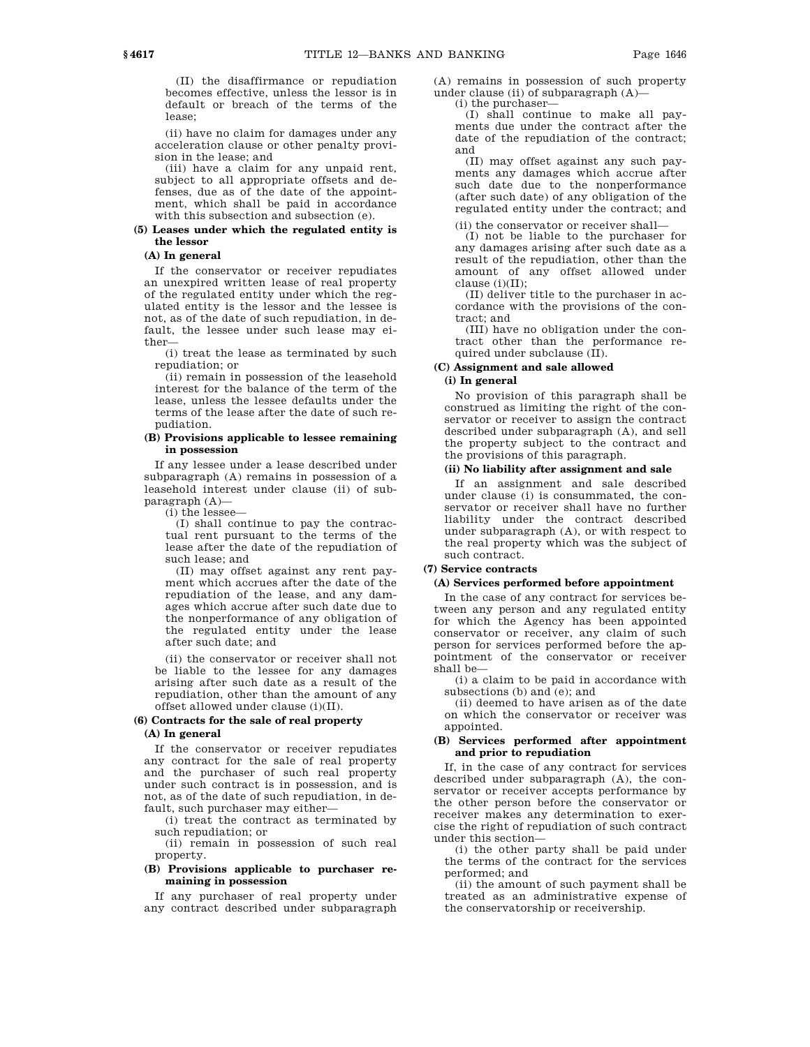(II) the disaffirmance or repudiation becomes effective, unless the lessor is in default or breach of the terms of the lease;

(ii) have no claim for damages under any acceleration clause or other penalty provision in the lease; and

(iii) have a claim for any unpaid rent, subject to all appropriate offsets and defenses, due as of the date of the appointment, which shall be paid in accordance with this subsection and subsection (e).

#### **(5) Leases under which the regulated entity is the lessor**

### **(A) In general**

If the conservator or receiver repudiates an unexpired written lease of real property of the regulated entity under which the regulated entity is the lessor and the lessee is not, as of the date of such repudiation, in default, the lessee under such lease may either—

(i) treat the lease as terminated by such repudiation; or

(ii) remain in possession of the leasehold interest for the balance of the term of the lease, unless the lessee defaults under the terms of the lease after the date of such repudiation.

#### **(B) Provisions applicable to lessee remaining in possession**

If any lessee under a lease described under subparagraph (A) remains in possession of a leasehold interest under clause (ii) of subparagraph (A)—

(i) the lessee—

(I) shall continue to pay the contractual rent pursuant to the terms of the lease after the date of the repudiation of such lease; and

(II) may offset against any rent payment which accrues after the date of the repudiation of the lease, and any damages which accrue after such date due to the nonperformance of any obligation of the regulated entity under the lease after such date; and

(ii) the conservator or receiver shall not be liable to the lessee for any damages arising after such date as a result of the repudiation, other than the amount of any offset allowed under clause (i)(II).

### **(6) Contracts for the sale of real property**

### **(A) In general**

If the conservator or receiver repudiates any contract for the sale of real property and the purchaser of such real property under such contract is in possession, and is not, as of the date of such repudiation, in default, such purchaser may either—

(i) treat the contract as terminated by such repudiation; or

(ii) remain in possession of such real property.

### **(B) Provisions applicable to purchaser remaining in possession**

If any purchaser of real property under any contract described under subparagraph (A) remains in possession of such property under clause (ii) of subparagraph  $(A)$ — (i) the purchaser—

(I) shall continue to make all payments due under the contract after the date of the repudiation of the contract; and

(II) may offset against any such payments any damages which accrue after such date due to the nonperformance (after such date) of any obligation of the regulated entity under the contract; and

(ii) the conservator or receiver shall—

(I) not be liable to the purchaser for any damages arising after such date as a result of the repudiation, other than the amount of any offset allowed under clause (i)(II);

(II) deliver title to the purchaser in accordance with the provisions of the contract; and

(III) have no obligation under the contract other than the performance required under subclause (II).

# **(C) Assignment and sale allowed**

# **(i) In general**

No provision of this paragraph shall be construed as limiting the right of the conservator or receiver to assign the contract described under subparagraph (A), and sell the property subject to the contract and the provisions of this paragraph.

#### **(ii) No liability after assignment and sale**

If an assignment and sale described under clause (i) is consummated, the conservator or receiver shall have no further liability under the contract described under subparagraph (A), or with respect to the real property which was the subject of such contract.

# **(7) Service contracts**

### **(A) Services performed before appointment**

In the case of any contract for services between any person and any regulated entity for which the Agency has been appointed conservator or receiver, any claim of such person for services performed before the appointment of the conservator or receiver shall be—

(i) a claim to be paid in accordance with subsections (b) and (e); and

(ii) deemed to have arisen as of the date on which the conservator or receiver was appointed.

### **(B) Services performed after appointment and prior to repudiation**

If, in the case of any contract for services described under subparagraph (A), the conservator or receiver accepts performance by the other person before the conservator or receiver makes any determination to exercise the right of repudiation of such contract under this section—

(i) the other party shall be paid under the terms of the contract for the services performed; and

(ii) the amount of such payment shall be treated as an administrative expense of the conservatorship or receivership.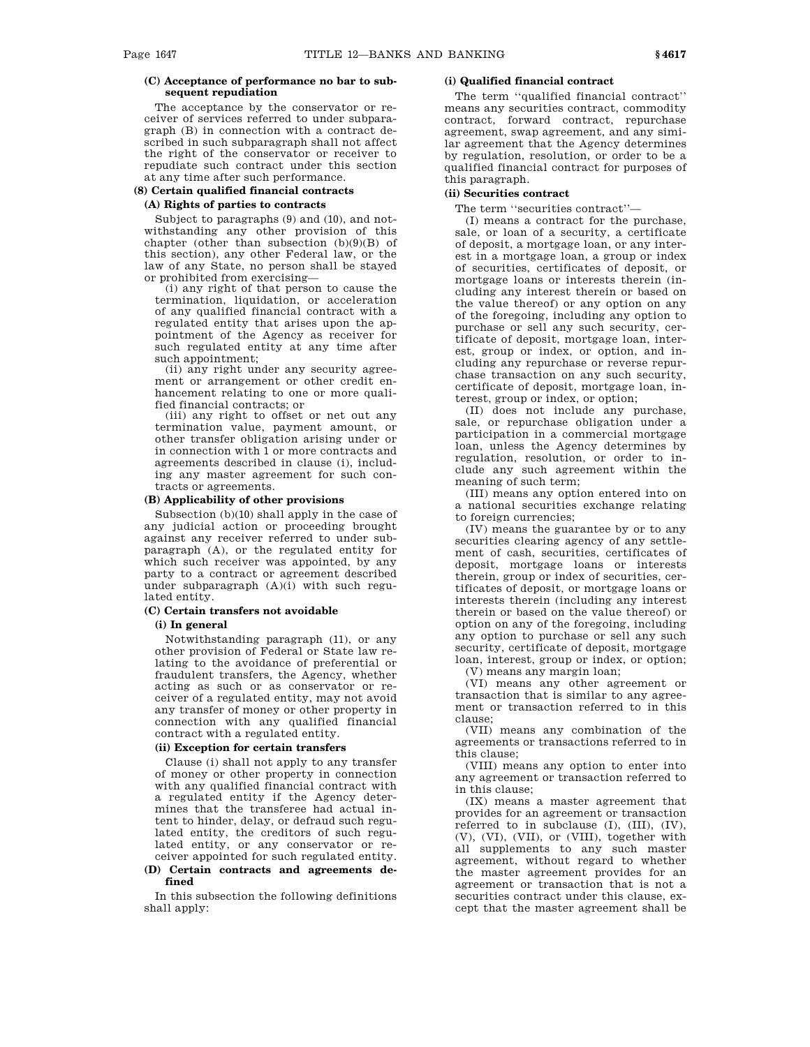### **(C) Acceptance of performance no bar to subsequent repudiation**

The acceptance by the conservator or receiver of services referred to under subparagraph (B) in connection with a contract described in such subparagraph shall not affect the right of the conservator or receiver to repudiate such contract under this section at any time after such performance.

#### **(8) Certain qualified financial contracts**

### **(A) Rights of parties to contracts**

Subject to paragraphs (9) and (10), and notwithstanding any other provision of this chapter (other than subsection  $(b)(9)(B)$  of this section), any other Federal law, or the law of any State, no person shall be stayed or prohibited from exercising—

(i) any right of that person to cause the termination, liquidation, or acceleration of any qualified financial contract with a regulated entity that arises upon the appointment of the Agency as receiver for such regulated entity at any time after such appointment;

(ii) any right under any security agreement or arrangement or other credit enhancement relating to one or more qualified financial contracts; or

(iii) any right to offset or net out any termination value, payment amount, or other transfer obligation arising under or in connection with 1 or more contracts and agreements described in clause (i), including any master agreement for such contracts or agreements.

### **(B) Applicability of other provisions**

Subsection (b)(10) shall apply in the case of any judicial action or proceeding brought against any receiver referred to under subparagraph (A), or the regulated entity for which such receiver was appointed, by any party to a contract or agreement described under subparagraph (A)(i) with such regulated entity.

### **(C) Certain transfers not avoidable**

### **(i) In general**

Notwithstanding paragraph (11), or any other provision of Federal or State law relating to the avoidance of preferential or fraudulent transfers, the Agency, whether acting as such or as conservator or receiver of a regulated entity, may not avoid any transfer of money or other property in connection with any qualified financial contract with a regulated entity.

### **(ii) Exception for certain transfers**

Clause (i) shall not apply to any transfer of money or other property in connection with any qualified financial contract with a regulated entity if the Agency determines that the transferee had actual intent to hinder, delay, or defraud such regulated entity, the creditors of such regulated entity, or any conservator or receiver appointed for such regulated entity.

### **(D) Certain contracts and agreements defined**

In this subsection the following definitions shall apply:

### **(i) Qualified financial contract**

The term ''qualified financial contract'' means any securities contract, commodity contract, forward contract, repurchase agreement, swap agreement, and any similar agreement that the Agency determines by regulation, resolution, or order to be a qualified financial contract for purposes of this paragraph.

### **(ii) Securities contract**

The term ''securities contract''—

(I) means a contract for the purchase, sale, or loan of a security, a certificate of deposit, a mortgage loan, or any interest in a mortgage loan, a group or index of securities, certificates of deposit, or mortgage loans or interests therein (including any interest therein or based on the value thereof) or any option on any of the foregoing, including any option to purchase or sell any such security, certificate of deposit, mortgage loan, interest, group or index, or option, and including any repurchase or reverse repurchase transaction on any such security, certificate of deposit, mortgage loan, interest, group or index, or option;

(II) does not include any purchase, sale, or repurchase obligation under a participation in a commercial mortgage loan, unless the Agency determines by regulation, resolution, or order to include any such agreement within the meaning of such term;

(III) means any option entered into on a national securities exchange relating to foreign currencies;

(IV) means the guarantee by or to any securities clearing agency of any settlement of cash, securities, certificates of deposit, mortgage loans or interests therein, group or index of securities, certificates of deposit, or mortgage loans or interests therein (including any interest therein or based on the value thereof) or option on any of the foregoing, including any option to purchase or sell any such security, certificate of deposit, mortgage loan, interest, group or index, or option; (V) means any margin loan;

(VI) means any other agreement or transaction that is similar to any agreement or transaction referred to in this clause;

(VII) means any combination of the agreements or transactions referred to in this clause;

(VIII) means any option to enter into any agreement or transaction referred to in this clause;

(IX) means a master agreement that provides for an agreement or transaction referred to in subclause (I), (III), (IV), (V), (VI), (VII), or (VIII), together with all supplements to any such master agreement, without regard to whether the master agreement provides for an agreement or transaction that is not a securities contract under this clause, except that the master agreement shall be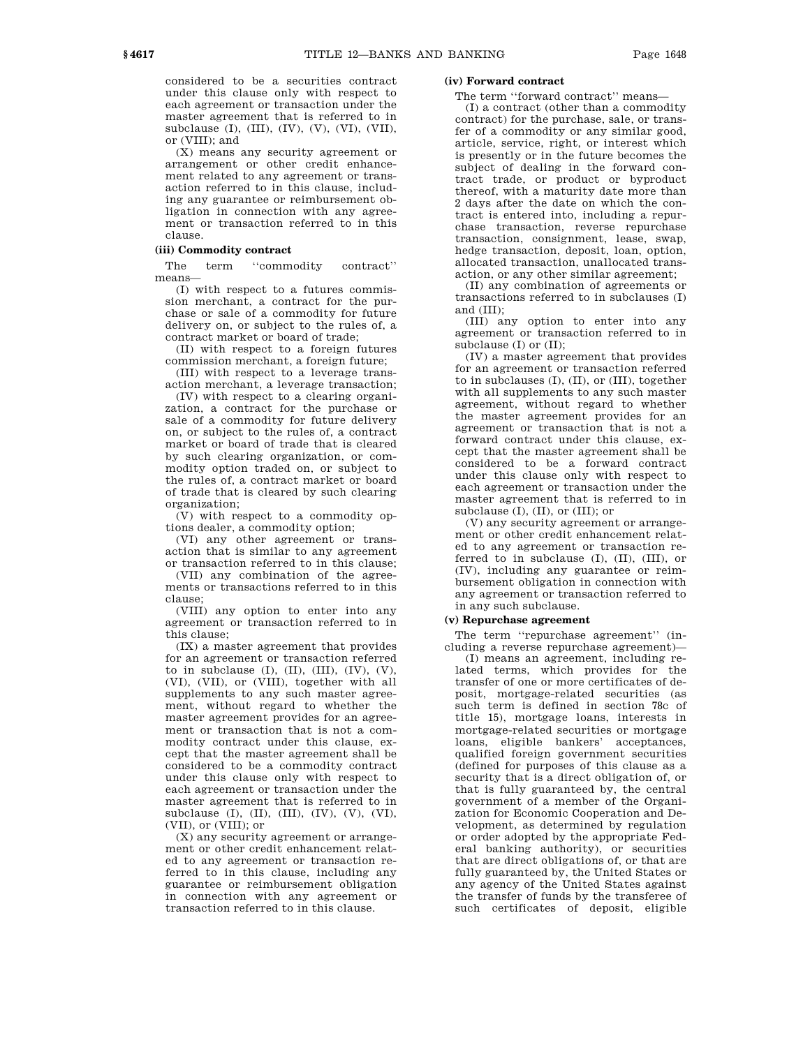considered to be a securities contract under this clause only with respect to each agreement or transaction under the master agreement that is referred to in subclause (I), (III), (IV), (V), (VI), (VII), or (VIII); and

(X) means any security agreement or arrangement or other credit enhancement related to any agreement or transaction referred to in this clause, including any guarantee or reimbursement obligation in connection with any agreement or transaction referred to in this clause.

#### **(iii) Commodity contract**

The term "commodity contract" means—

(I) with respect to a futures commission merchant, a contract for the purchase or sale of a commodity for future delivery on, or subject to the rules of, a contract market or board of trade;

(II) with respect to a foreign futures commission merchant, a foreign future;

(III) with respect to a leverage transaction merchant, a leverage transaction;

(IV) with respect to a clearing organization, a contract for the purchase or sale of a commodity for future delivery on, or subject to the rules of, a contract market or board of trade that is cleared by such clearing organization, or commodity option traded on, or subject to the rules of, a contract market or board of trade that is cleared by such clearing organization;

(V) with respect to a commodity options dealer, a commodity option;

(VI) any other agreement or transaction that is similar to any agreement or transaction referred to in this clause;

(VII) any combination of the agreements or transactions referred to in this clause;

(VIII) any option to enter into any agreement or transaction referred to in this clause;

(IX) a master agreement that provides for an agreement or transaction referred to in subclause  $(I)$ ,  $(II)$ ,  $(III)$ ,  $(IV)$ ,  $(V)$ , (VI), (VII), or (VIII), together with all supplements to any such master agreement, without regard to whether the master agreement provides for an agreement or transaction that is not a commodity contract under this clause, except that the master agreement shall be considered to be a commodity contract under this clause only with respect to each agreement or transaction under the master agreement that is referred to in subclause (I), (II), (III),  $(IV)$ ,  $(V)$ ,  $(VI)$ , (VII), or (VIII); or

(X) any security agreement or arrangement or other credit enhancement related to any agreement or transaction referred to in this clause, including any guarantee or reimbursement obligation in connection with any agreement or transaction referred to in this clause.

### **(iv) Forward contract**

The term ''forward contract'' means—

(I) a contract (other than a commodity contract) for the purchase, sale, or transfer of a commodity or any similar good, article, service, right, or interest which is presently or in the future becomes the subject of dealing in the forward contract trade, or product or byproduct thereof, with a maturity date more than 2 days after the date on which the contract is entered into, including a repurchase transaction, reverse repurchase transaction, consignment, lease, swap, hedge transaction, deposit, loan, option, allocated transaction, unallocated transaction, or any other similar agreement;

(II) any combination of agreements or transactions referred to in subclauses (I) and (III);

(III) any option to enter into any agreement or transaction referred to in subclause  $(I)$  or  $(II)$ ;

(IV) a master agreement that provides for an agreement or transaction referred to in subclauses (I), (II), or (III), together with all supplements to any such master agreement, without regard to whether the master agreement provides for an agreement or transaction that is not a forward contract under this clause, except that the master agreement shall be considered to be a forward contract under this clause only with respect to each agreement or transaction under the master agreement that is referred to in subclause (I), (II), or (III); or

(V) any security agreement or arrangement or other credit enhancement related to any agreement or transaction referred to in subclause (I), (II), (III), or (IV), including any guarantee or reimbursement obligation in connection with any agreement or transaction referred to in any such subclause.

#### **(v) Repurchase agreement**

The term "repurchase agreement" (including a reverse repurchase agreement)—

(I) means an agreement, including related terms, which provides for the transfer of one or more certificates of deposit, mortgage-related securities (as such term is defined in section 78c of title 15), mortgage loans, interests in mortgage-related securities or mortgage loans, eligible bankers' acceptances, qualified foreign government securities (defined for purposes of this clause as a security that is a direct obligation of, or that is fully guaranteed by, the central government of a member of the Organization for Economic Cooperation and Development, as determined by regulation or order adopted by the appropriate Federal banking authority), or securities that are direct obligations of, or that are fully guaranteed by, the United States or any agency of the United States against the transfer of funds by the transferee of such certificates of deposit, eligible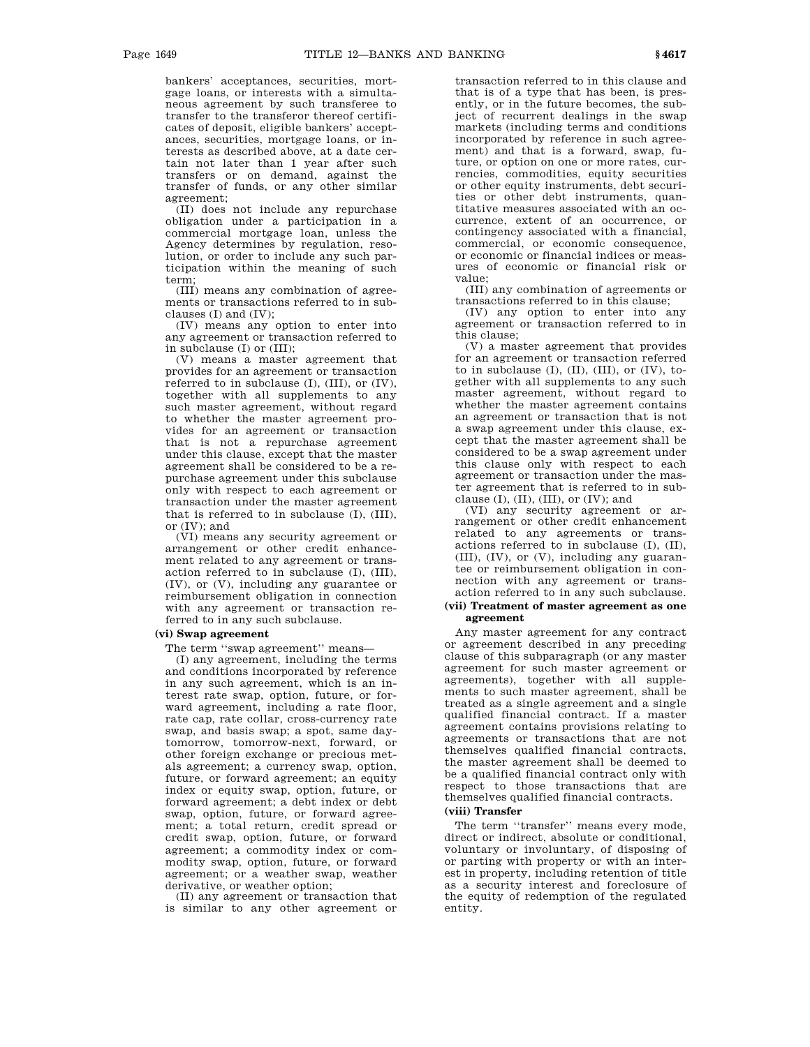bankers' acceptances, securities, mortgage loans, or interests with a simultaneous agreement by such transferee to transfer to the transferor thereof certificates of deposit, eligible bankers' acceptances, securities, mortgage loans, or interests as described above, at a date certain not later than 1 year after such transfers or on demand, against the transfer of funds, or any other similar agreement;

(II) does not include any repurchase obligation under a participation in a commercial mortgage loan, unless the Agency determines by regulation, resolution, or order to include any such participation within the meaning of such term;

(III) means any combination of agreements or transactions referred to in subclauses (I) and (IV);

(IV) means any option to enter into any agreement or transaction referred to in subclause (I) or (III);

(V) means a master agreement that provides for an agreement or transaction referred to in subclause (I), (III), or (IV), together with all supplements to any such master agreement, without regard to whether the master agreement provides for an agreement or transaction that is not a repurchase agreement under this clause, except that the master agreement shall be considered to be a repurchase agreement under this subclause only with respect to each agreement or transaction under the master agreement that is referred to in subclause (I), (III), or (IV); and

(VI) means any security agreement or arrangement or other credit enhancement related to any agreement or transaction referred to in subclause (I), (III), (IV), or (V), including any guarantee or reimbursement obligation in connection with any agreement or transaction referred to in any such subclause.

### **(vi) Swap agreement**

The term ''swap agreement'' means—

(I) any agreement, including the terms and conditions incorporated by reference in any such agreement, which is an interest rate swap, option, future, or forward agreement, including a rate floor, rate cap, rate collar, cross-currency rate swap, and basis swap; a spot, same daytomorrow, tomorrow-next, forward, or other foreign exchange or precious metals agreement; a currency swap, option, future, or forward agreement; an equity index or equity swap, option, future, or forward agreement; a debt index or debt swap, option, future, or forward agreement; a total return, credit spread or credit swap, option, future, or forward agreement; a commodity index or commodity swap, option, future, or forward agreement; or a weather swap, weather derivative, or weather option;

(II) any agreement or transaction that is similar to any other agreement or

transaction referred to in this clause and that is of a type that has been, is presently, or in the future becomes, the subject of recurrent dealings in the swap markets (including terms and conditions incorporated by reference in such agreement) and that is a forward, swap, future, or option on one or more rates, currencies, commodities, equity securities or other equity instruments, debt securities or other debt instruments, quantitative measures associated with an occurrence, extent of an occurrence, or contingency associated with a financial, commercial, or economic consequence, or economic or financial indices or measures of economic or financial risk or value;

(III) any combination of agreements or transactions referred to in this clause;

(IV) any option to enter into any agreement or transaction referred to in this clause;

(V) a master agreement that provides for an agreement or transaction referred to in subclause  $(I)$ ,  $(II)$ ,  $(III)$ , or  $(IV)$ , together with all supplements to any such master agreement, without regard to whether the master agreement contains an agreement or transaction that is not a swap agreement under this clause, except that the master agreement shall be considered to be a swap agreement under this clause only with respect to each agreement or transaction under the master agreement that is referred to in subclause  $(I)$ ,  $(II)$ ,  $(III)$ , or  $(IV)$ ; and

(VI) any security agreement or arrangement or other credit enhancement related to any agreements or transactions referred to in subclause (I), (II), (III), (IV), or (V), including any guarantee or reimbursement obligation in connection with any agreement or transaction referred to in any such subclause.

#### **(vii) Treatment of master agreement as one agreement**

Any master agreement for any contract or agreement described in any preceding clause of this subparagraph (or any master agreement for such master agreement or agreements), together with all supplements to such master agreement, shall be treated as a single agreement and a single qualified financial contract. If a master agreement contains provisions relating to agreements or transactions that are not themselves qualified financial contracts, the master agreement shall be deemed to be a qualified financial contract only with respect to those transactions that are themselves qualified financial contracts.

### **(viii) Transfer**

The term ''transfer'' means every mode, direct or indirect, absolute or conditional, voluntary or involuntary, of disposing of or parting with property or with an interest in property, including retention of title as a security interest and foreclosure of the equity of redemption of the regulated entity.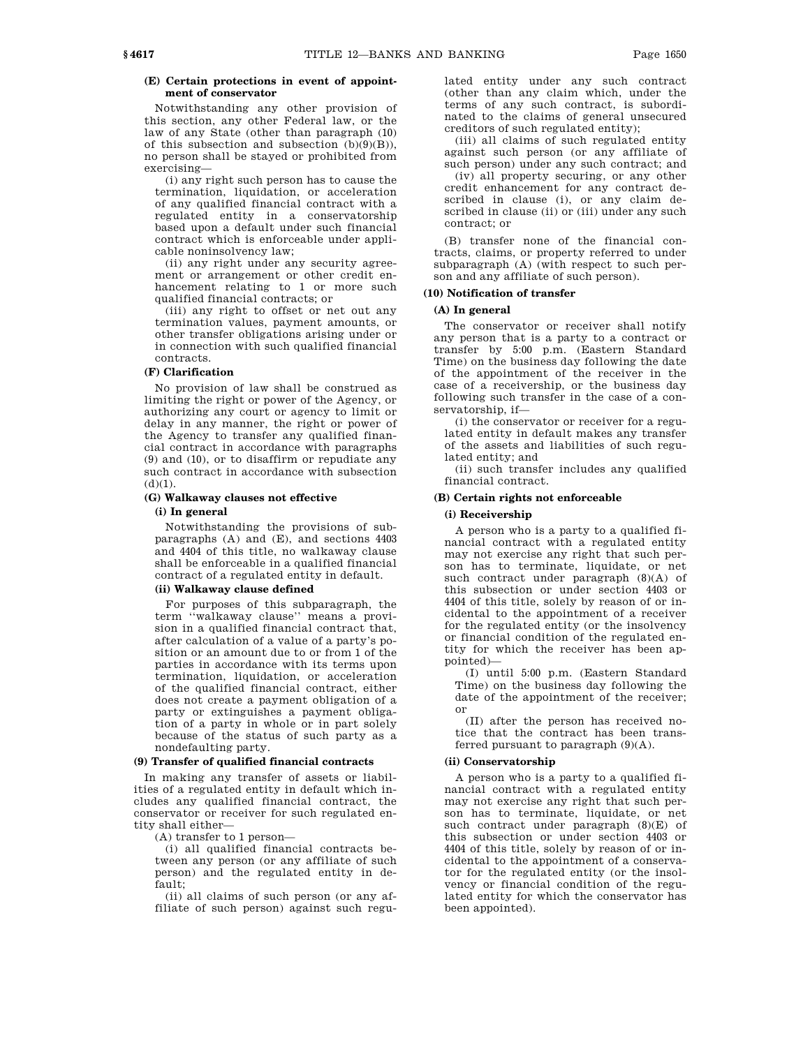### **(E) Certain protections in event of appointment of conservator**

Notwithstanding any other provision of this section, any other Federal law, or the law of any State (other than paragraph (10) of this subsection and subsection  $(h)(9)(B)$ no person shall be stayed or prohibited from exercising—

(i) any right such person has to cause the termination, liquidation, or acceleration of any qualified financial contract with a regulated entity in a conservatorship based upon a default under such financial contract which is enforceable under applicable noninsolvency law;

(ii) any right under any security agreement or arrangement or other credit enhancement relating to 1 or more such qualified financial contracts; or

(iii) any right to offset or net out any termination values, payment amounts, or other transfer obligations arising under or in connection with such qualified financial contracts.

#### **(F) Clarification**

No provision of law shall be construed as limiting the right or power of the Agency, or authorizing any court or agency to limit or delay in any manner, the right or power of the Agency to transfer any qualified financial contract in accordance with paragraphs (9) and (10), or to disaffirm or repudiate any such contract in accordance with subsection  $(d)(1)$ .

### **(G) Walkaway clauses not effective**

#### **(i) In general**

Notwithstanding the provisions of subparagraphs (A) and (E), and sections 4403 and 4404 of this title, no walkaway clause shall be enforceable in a qualified financial contract of a regulated entity in default.

### **(ii) Walkaway clause defined**

For purposes of this subparagraph, the term ''walkaway clause'' means a provision in a qualified financial contract that, after calculation of a value of a party's position or an amount due to or from 1 of the parties in accordance with its terms upon termination, liquidation, or acceleration of the qualified financial contract, either does not create a payment obligation of a party or extinguishes a payment obligation of a party in whole or in part solely because of the status of such party as a nondefaulting party.

### **(9) Transfer of qualified financial contracts**

In making any transfer of assets or liabilities of a regulated entity in default which includes any qualified financial contract, the conservator or receiver for such regulated entity shall either—

(A) transfer to 1 person—

(i) all qualified financial contracts between any person (or any affiliate of such person) and the regulated entity in default;

(ii) all claims of such person (or any affiliate of such person) against such regu-

lated entity under any such contract (other than any claim which, under the terms of any such contract, is subordinated to the claims of general unsecured creditors of such regulated entity);

(iii) all claims of such regulated entity against such person (or any affiliate of such person) under any such contract; and

(iv) all property securing, or any other credit enhancement for any contract described in clause (i), or any claim described in clause (ii) or (iii) under any such contract; or

(B) transfer none of the financial contracts, claims, or property referred to under subparagraph (A) (with respect to such person and any affiliate of such person).

### **(10) Notification of transfer**

### **(A) In general**

The conservator or receiver shall notify any person that is a party to a contract or transfer by 5:00 p.m. (Eastern Standard Time) on the business day following the date of the appointment of the receiver in the case of a receivership, or the business day following such transfer in the case of a conservatorship, if—

(i) the conservator or receiver for a regulated entity in default makes any transfer of the assets and liabilities of such regulated entity; and

(ii) such transfer includes any qualified financial contract.

### **(B) Certain rights not enforceable**

#### **(i) Receivership**

A person who is a party to a qualified financial contract with a regulated entity may not exercise any right that such person has to terminate, liquidate, or net such contract under paragraph (8)(A) of this subsection or under section 4403 or 4404 of this title, solely by reason of or incidental to the appointment of a receiver for the regulated entity (or the insolvency or financial condition of the regulated entity for which the receiver has been appointed)—

(I) until 5:00 p.m. (Eastern Standard Time) on the business day following the date of the appointment of the receiver; or

(II) after the person has received notice that the contract has been transferred pursuant to paragraph  $(9)(A)$ .

#### **(ii) Conservatorship**

A person who is a party to a qualified financial contract with a regulated entity may not exercise any right that such person has to terminate, liquidate, or net such contract under paragraph (8)(E) of this subsection or under section 4403 or 4404 of this title, solely by reason of or incidental to the appointment of a conservator for the regulated entity (or the insolvency or financial condition of the regulated entity for which the conservator has been appointed).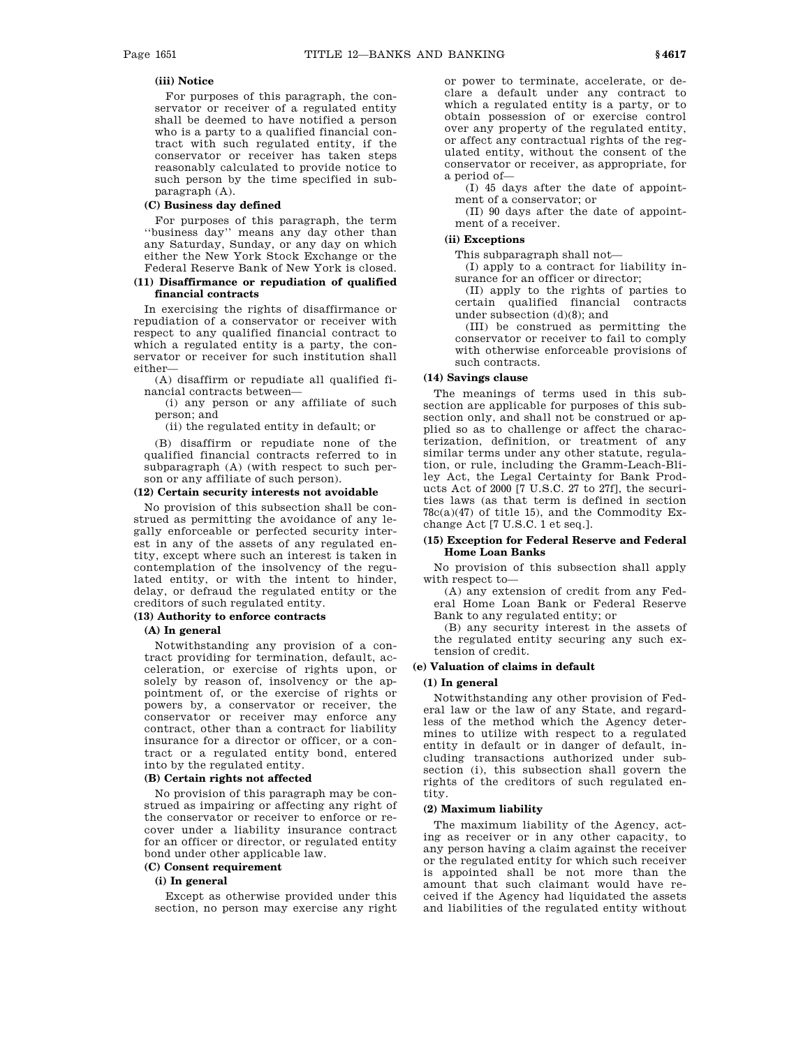### **(iii) Notice**

For purposes of this paragraph, the conservator or receiver of a regulated entity shall be deemed to have notified a person who is a party to a qualified financial contract with such regulated entity, if the conservator or receiver has taken steps reasonably calculated to provide notice to such person by the time specified in subparagraph (A).

### **(C) Business day defined**

For purposes of this paragraph, the term ''business day'' means any day other than any Saturday, Sunday, or any day on which either the New York Stock Exchange or the Federal Reserve Bank of New York is closed.

### **(11) Disaffirmance or repudiation of qualified financial contracts**

In exercising the rights of disaffirmance or repudiation of a conservator or receiver with respect to any qualified financial contract to which a regulated entity is a party, the conservator or receiver for such institution shall either—

(A) disaffirm or repudiate all qualified financial contracts between—

(i) any person or any affiliate of such person; and

(ii) the regulated entity in default; or

(B) disaffirm or repudiate none of the qualified financial contracts referred to in subparagraph (A) (with respect to such person or any affiliate of such person).

### **(12) Certain security interests not avoidable**

No provision of this subsection shall be construed as permitting the avoidance of any legally enforceable or perfected security interest in any of the assets of any regulated entity, except where such an interest is taken in contemplation of the insolvency of the regulated entity, or with the intent to hinder, delay, or defraud the regulated entity or the creditors of such regulated entity.

### **(13) Authority to enforce contracts**

#### **(A) In general**

Notwithstanding any provision of a contract providing for termination, default, acceleration, or exercise of rights upon, or solely by reason of, insolvency or the appointment of, or the exercise of rights or powers by, a conservator or receiver, the conservator or receiver may enforce any contract, other than a contract for liability insurance for a director or officer, or a contract or a regulated entity bond, entered into by the regulated entity.

### **(B) Certain rights not affected**

No provision of this paragraph may be construed as impairing or affecting any right of the conservator or receiver to enforce or recover under a liability insurance contract for an officer or director, or regulated entity bond under other applicable law.

#### **(C) Consent requirement**

### **(i) In general**

Except as otherwise provided under this section, no person may exercise any right

or power to terminate, accelerate, or declare a default under any contract to which a regulated entity is a party, or to obtain possession of or exercise control over any property of the regulated entity, or affect any contractual rights of the regulated entity, without the consent of the conservator or receiver, as appropriate, for a period of—

(I) 45 days after the date of appointment of a conservator; or

(II) 90 days after the date of appointment of a receiver.

#### **(ii) Exceptions**

This subparagraph shall not—

(I) apply to a contract for liability insurance for an officer or director;

(II) apply to the rights of parties to certain qualified financial contracts under subsection (d)(8); and

(III) be construed as permitting the conservator or receiver to fail to comply with otherwise enforceable provisions of such contracts.

### **(14) Savings clause**

The meanings of terms used in this subsection are applicable for purposes of this subsection only, and shall not be construed or applied so as to challenge or affect the characterization, definition, or treatment of any similar terms under any other statute, regulation, or rule, including the Gramm-Leach-Bliley Act, the Legal Certainty for Bank Products Act of 2000 [7 U.S.C. 27 to 27f], the securities laws (as that term is defined in section  $78c(a)(47)$  of title 15), and the Commodity Exchange Act [7 U.S.C. 1 et seq.].

#### **(15) Exception for Federal Reserve and Federal Home Loan Banks**

No provision of this subsection shall apply with respect to—

(A) any extension of credit from any Federal Home Loan Bank or Federal Reserve Bank to any regulated entity; or

(B) any security interest in the assets of the regulated entity securing any such extension of credit.

### **(e) Valuation of claims in default**

#### **(1) In general**

Notwithstanding any other provision of Federal law or the law of any State, and regardless of the method which the Agency determines to utilize with respect to a regulated entity in default or in danger of default, including transactions authorized under subsection (i), this subsection shall govern the rights of the creditors of such regulated entity.

#### **(2) Maximum liability**

The maximum liability of the Agency, acting as receiver or in any other capacity, to any person having a claim against the receiver or the regulated entity for which such receiver is appointed shall be not more than the amount that such claimant would have received if the Agency had liquidated the assets and liabilities of the regulated entity without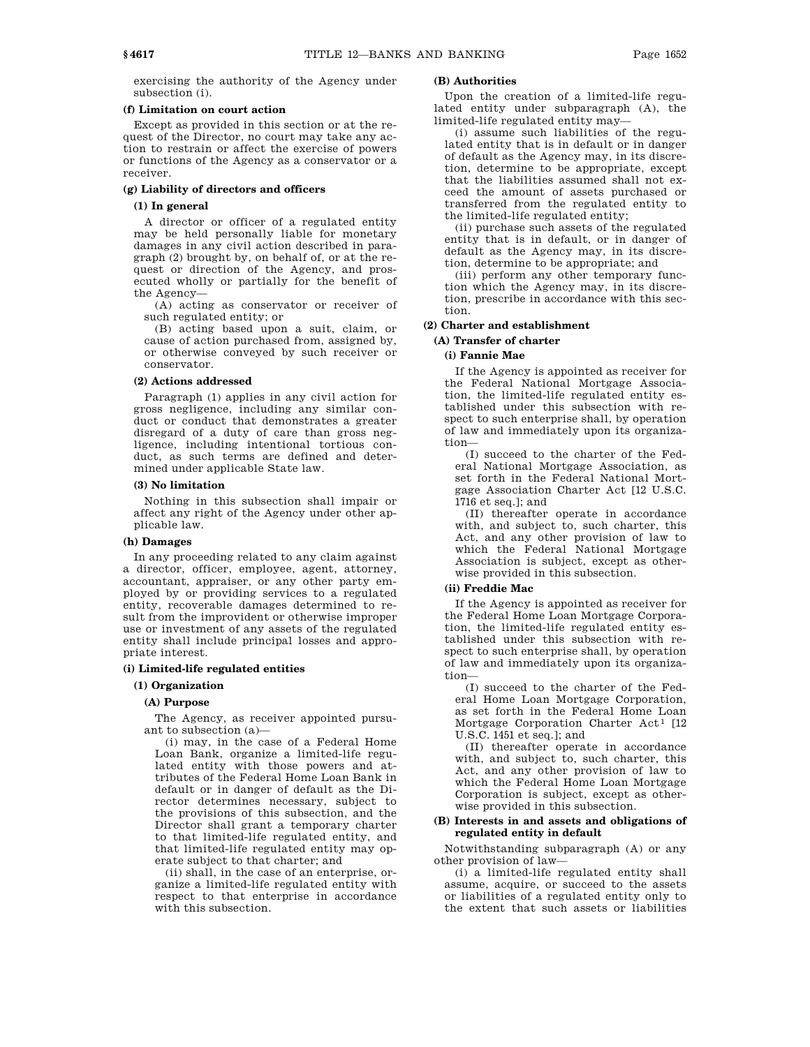exercising the authority of the Agency under subsection (i).

### **(f) Limitation on court action**

Except as provided in this section or at the request of the Director, no court may take any action to restrain or affect the exercise of powers or functions of the Agency as a conservator or a receiver.

### **(g) Liability of directors and officers**

### **(1) In general**

A director or officer of a regulated entity may be held personally liable for monetary damages in any civil action described in paragraph (2) brought by, on behalf of, or at the request or direction of the Agency, and prosecuted wholly or partially for the benefit of the Agency—

(A) acting as conservator or receiver of such regulated entity; or

(B) acting based upon a suit, claim, or cause of action purchased from, assigned by, or otherwise conveyed by such receiver or conservator.

### **(2) Actions addressed**

Paragraph (1) applies in any civil action for gross negligence, including any similar conduct or conduct that demonstrates a greater disregard of a duty of care than gross negligence, including intentional tortious conduct, as such terms are defined and determined under applicable State law.

### **(3) No limitation**

Nothing in this subsection shall impair or affect any right of the Agency under other applicable law.

#### **(h) Damages**

In any proceeding related to any claim against a director, officer, employee, agent, attorney, accountant, appraiser, or any other party employed by or providing services to a regulated entity, recoverable damages determined to result from the improvident or otherwise improper use or investment of any assets of the regulated entity shall include principal losses and appropriate interest.

### **(i) Limited-life regulated entities**

### **(1) Organization**

#### **(A) Purpose**

The Agency, as receiver appointed pursuant to subsection (a)—

(i) may, in the case of a Federal Home Loan Bank, organize a limited-life regulated entity with those powers and attributes of the Federal Home Loan Bank in default or in danger of default as the Director determines necessary, subject to the provisions of this subsection, and the Director shall grant a temporary charter to that limited-life regulated entity, and that limited-life regulated entity may operate subject to that charter; and

(ii) shall, in the case of an enterprise, organize a limited-life regulated entity with respect to that enterprise in accordance with this subsection.

### **(B) Authorities**

Upon the creation of a limited-life regulated entity under subparagraph (A), the limited-life regulated entity may—

(i) assume such liabilities of the regulated entity that is in default or in danger of default as the Agency may, in its discretion, determine to be appropriate, except that the liabilities assumed shall not exceed the amount of assets purchased or transferred from the regulated entity to the limited-life regulated entity;

(ii) purchase such assets of the regulated entity that is in default, or in danger of default as the Agency may, in its discretion, determine to be appropriate; and

(iii) perform any other temporary function which the Agency may, in its discretion, prescribe in accordance with this section.

### **(2) Charter and establishment**

### **(A) Transfer of charter**

### **(i) Fannie Mae**

If the Agency is appointed as receiver for the Federal National Mortgage Association, the limited-life regulated entity established under this subsection with respect to such enterprise shall, by operation of law and immediately upon its organization—

(I) succeed to the charter of the Federal National Mortgage Association, as set forth in the Federal National Mortgage Association Charter Act [12 U.S.C. 1716 et seq.]; and

(II) thereafter operate in accordance with, and subject to, such charter, this Act, and any other provision of law to which the Federal National Mortgage Association is subject, except as otherwise provided in this subsection.

#### **(ii) Freddie Mac**

If the Agency is appointed as receiver for the Federal Home Loan Mortgage Corporation, the limited-life regulated entity established under this subsection with respect to such enterprise shall, by operation of law and immediately upon its organization—

(I) succeed to the charter of the Federal Home Loan Mortgage Corporation, as set forth in the Federal Home Loan Mortgage Corporation Charter Act<sup>1</sup> [12] U.S.C. 1451 et seq.]; and

(II) thereafter operate in accordance with, and subject to, such charter, this Act, and any other provision of law to which the Federal Home Loan Mortgage Corporation is subject, except as otherwise provided in this subsection.

### **(B) Interests in and assets and obligations of regulated entity in default**

Notwithstanding subparagraph (A) or any other provision of law—

(i) a limited-life regulated entity shall assume, acquire, or succeed to the assets or liabilities of a regulated entity only to the extent that such assets or liabilities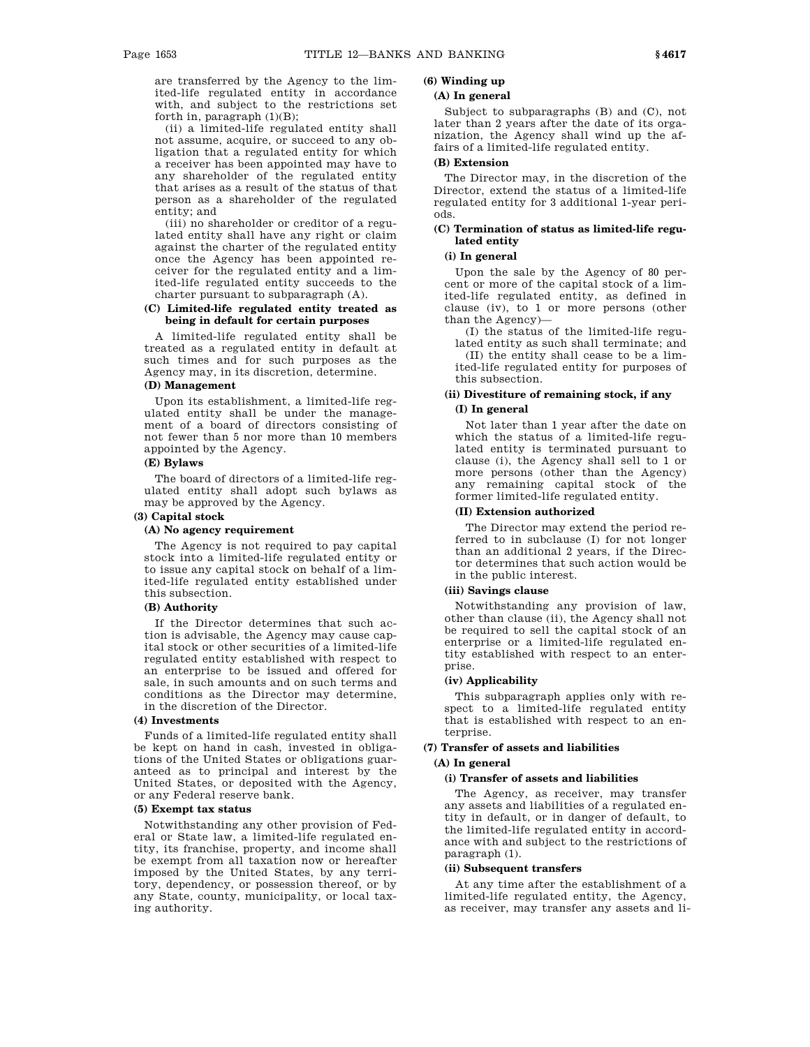are transferred by the Agency to the limited-life regulated entity in accordance with, and subject to the restrictions set forth in, paragraph (1)(B);

(ii) a limited-life regulated entity shall not assume, acquire, or succeed to any obligation that a regulated entity for which a receiver has been appointed may have to any shareholder of the regulated entity that arises as a result of the status of that person as a shareholder of the regulated entity; and

(iii) no shareholder or creditor of a regulated entity shall have any right or claim against the charter of the regulated entity once the Agency has been appointed receiver for the regulated entity and a limited-life regulated entity succeeds to the charter pursuant to subparagraph (A).

### **(C) Limited-life regulated entity treated as being in default for certain purposes**

A limited-life regulated entity shall be treated as a regulated entity in default at such times and for such purposes as the Agency may, in its discretion, determine.

### **(D) Management**

Upon its establishment, a limited-life regulated entity shall be under the management of a board of directors consisting of not fewer than 5 nor more than 10 members appointed by the Agency.

## **(E) Bylaws**

The board of directors of a limited-life regulated entity shall adopt such bylaws as may be approved by the Agency.

### **(3) Capital stock**

### **(A) No agency requirement**

The Agency is not required to pay capital stock into a limited-life regulated entity or to issue any capital stock on behalf of a limited-life regulated entity established under this subsection.

#### **(B) Authority**

If the Director determines that such action is advisable, the Agency may cause capital stock or other securities of a limited-life regulated entity established with respect to an enterprise to be issued and offered for sale, in such amounts and on such terms and conditions as the Director may determine, in the discretion of the Director.

#### **(4) Investments**

Funds of a limited-life regulated entity shall be kept on hand in cash, invested in obligations of the United States or obligations guaranteed as to principal and interest by the United States, or deposited with the Agency, or any Federal reserve bank.

#### **(5) Exempt tax status**

Notwithstanding any other provision of Federal or State law, a limited-life regulated entity, its franchise, property, and income shall be exempt from all taxation now or hereafter imposed by the United States, by any territory, dependency, or possession thereof, or by any State, county, municipality, or local taxing authority.

# **(6) Winding up**

### **(A) In general**

Subject to subparagraphs (B) and (C), not later than 2 years after the date of its organization, the Agency shall wind up the affairs of a limited-life regulated entity.

### **(B) Extension**

The Director may, in the discretion of the Director, extend the status of a limited-life regulated entity for 3 additional 1-year periods.

### **(C) Termination of status as limited-life regulated entity**

### **(i) In general**

Upon the sale by the Agency of 80 percent or more of the capital stock of a limited-life regulated entity, as defined in clause (iv), to 1 or more persons (other than the Agency)—

(I) the status of the limited-life regulated entity as such shall terminate; and (II) the entity shall cease to be a limited-life regulated entity for purposes of this subsection.

# **(ii) Divestiture of remaining stock, if any**

### **(I) In general**

Not later than 1 year after the date on which the status of a limited-life regulated entity is terminated pursuant to clause (i), the Agency shall sell to 1 or more persons (other than the Agency) any remaining capital stock of the former limited-life regulated entity.

#### **(II) Extension authorized**

The Director may extend the period referred to in subclause (I) for not longer than an additional 2 years, if the Director determines that such action would be in the public interest.

### **(iii) Savings clause**

Notwithstanding any provision of law, other than clause (ii), the Agency shall not be required to sell the capital stock of an enterprise or a limited-life regulated entity established with respect to an enterprise.

### **(iv) Applicability**

This subparagraph applies only with respect to a limited-life regulated entity that is established with respect to an enterprise.

### **(7) Transfer of assets and liabilities**

### **(A) In general**

### **(i) Transfer of assets and liabilities**

The Agency, as receiver, may transfer any assets and liabilities of a regulated entity in default, or in danger of default, to the limited-life regulated entity in accordance with and subject to the restrictions of paragraph (1).

#### **(ii) Subsequent transfers**

At any time after the establishment of a limited-life regulated entity, the Agency, as receiver, may transfer any assets and li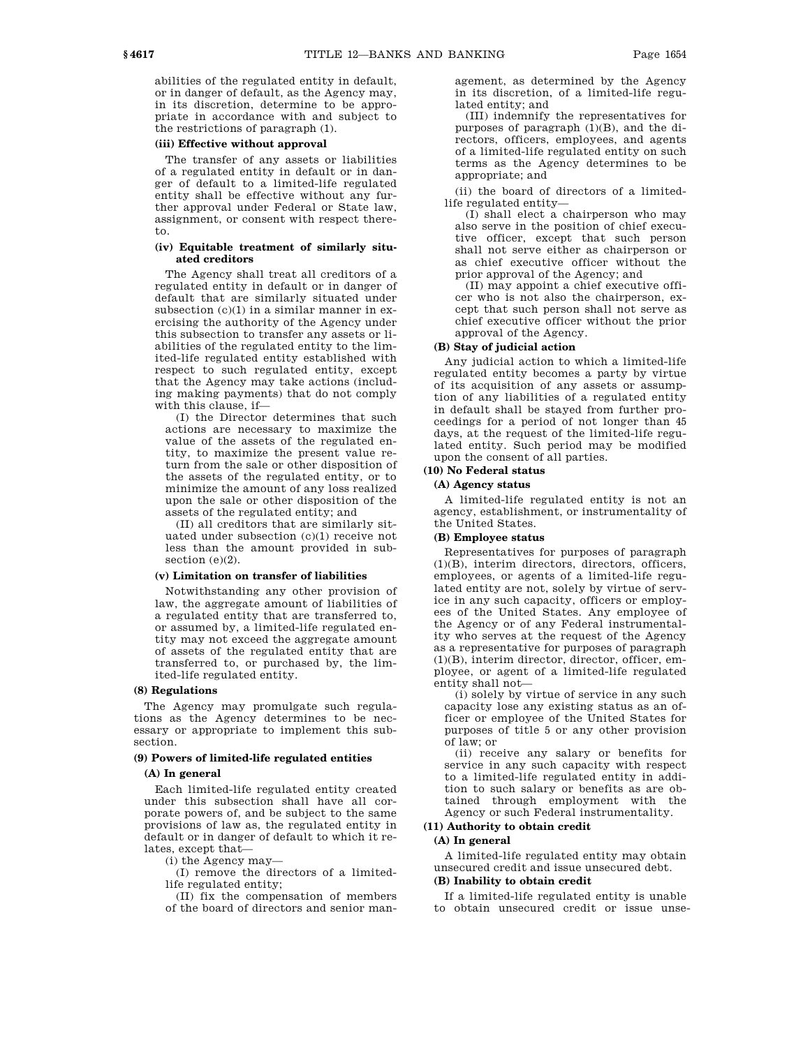abilities of the regulated entity in default, or in danger of default, as the Agency may, in its discretion, determine to be appropriate in accordance with and subject to the restrictions of paragraph (1).

#### **(iii) Effective without approval**

The transfer of any assets or liabilities of a regulated entity in default or in danger of default to a limited-life regulated entity shall be effective without any further approval under Federal or State law, assignment, or consent with respect thereto.

### **(iv) Equitable treatment of similarly situated creditors**

The Agency shall treat all creditors of a regulated entity in default or in danger of default that are similarly situated under subsection (c)(1) in a similar manner in exercising the authority of the Agency under this subsection to transfer any assets or liabilities of the regulated entity to the limited-life regulated entity established with respect to such regulated entity, except that the Agency may take actions (including making payments) that do not comply with this clause, if—

(I) the Director determines that such actions are necessary to maximize the value of the assets of the regulated entity, to maximize the present value return from the sale or other disposition of the assets of the regulated entity, or to minimize the amount of any loss realized upon the sale or other disposition of the assets of the regulated entity; and

(II) all creditors that are similarly situated under subsection (c)(1) receive not less than the amount provided in subsection (e)(2).

#### **(v) Limitation on transfer of liabilities**

Notwithstanding any other provision of law, the aggregate amount of liabilities of a regulated entity that are transferred to, or assumed by, a limited-life regulated entity may not exceed the aggregate amount of assets of the regulated entity that are transferred to, or purchased by, the limited-life regulated entity.

#### **(8) Regulations**

The Agency may promulgate such regulations as the Agency determines to be necessary or appropriate to implement this subsection.

### **(9) Powers of limited-life regulated entities**

#### **(A) In general**

Each limited-life regulated entity created under this subsection shall have all corporate powers of, and be subject to the same provisions of law as, the regulated entity in default or in danger of default to which it relates, except that—

(i) the Agency may—

(I) remove the directors of a limitedlife regulated entity;

(II) fix the compensation of members of the board of directors and senior management, as determined by the Agency in its discretion, of a limited-life regulated entity; and

(III) indemnify the representatives for purposes of paragraph (1)(B), and the directors, officers, employees, and agents of a limited-life regulated entity on such terms as the Agency determines to be appropriate; and

(ii) the board of directors of a limitedlife regulated entity—

(I) shall elect a chairperson who may also serve in the position of chief executive officer, except that such person shall not serve either as chairperson or as chief executive officer without the prior approval of the Agency; and

(II) may appoint a chief executive officer who is not also the chairperson, except that such person shall not serve as chief executive officer without the prior approval of the Agency.

#### **(B) Stay of judicial action**

Any judicial action to which a limited-life regulated entity becomes a party by virtue of its acquisition of any assets or assumption of any liabilities of a regulated entity in default shall be stayed from further proceedings for a period of not longer than 45 days, at the request of the limited-life regulated entity. Such period may be modified upon the consent of all parties.

### **(10) No Federal status**

#### **(A) Agency status**

A limited-life regulated entity is not an agency, establishment, or instrumentality of the United States.

#### **(B) Employee status**

Representatives for purposes of paragraph (1)(B), interim directors, directors, officers, employees, or agents of a limited-life regulated entity are not, solely by virtue of service in any such capacity, officers or employees of the United States. Any employee of the Agency or of any Federal instrumentality who serves at the request of the Agency as a representative for purposes of paragraph (1)(B), interim director, director, officer, employee, or agent of a limited-life regulated entity shall not—

(i) solely by virtue of service in any such capacity lose any existing status as an officer or employee of the United States for purposes of title 5 or any other provision of law; or

(ii) receive any salary or benefits for service in any such capacity with respect to a limited-life regulated entity in addition to such salary or benefits as are obtained through employment with the Agency or such Federal instrumentality.

### **(11) Authority to obtain credit (A) In general**

A limited-life regulated entity may obtain unsecured credit and issue unsecured debt.

#### **(B) Inability to obtain credit**

If a limited-life regulated entity is unable to obtain unsecured credit or issue unse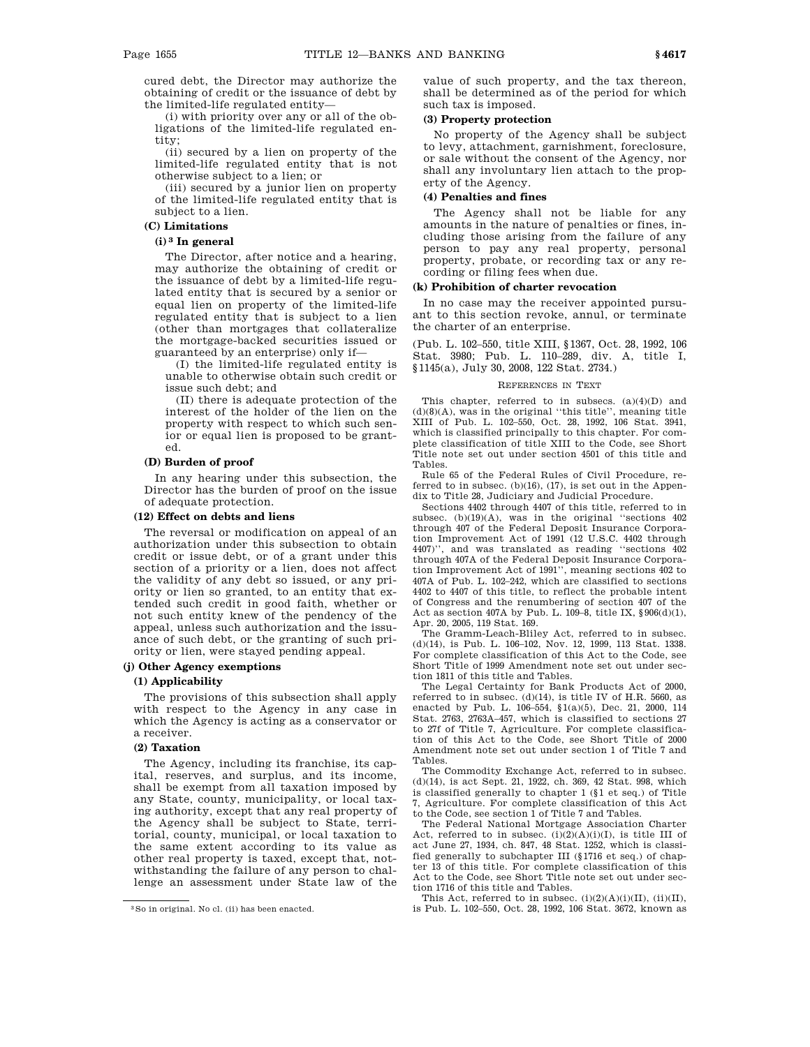cured debt, the Director may authorize the obtaining of credit or the issuance of debt by the limited-life regulated entity—

(i) with priority over any or all of the obligations of the limited-life regulated entity;

(ii) secured by a lien on property of the limited-life regulated entity that is not otherwise subject to a lien; or

(iii) secured by a junior lien on property of the limited-life regulated entity that is subject to a lien.

### **(C) Limitations**

### **(i) 3 In general**

The Director, after notice and a hearing, may authorize the obtaining of credit or the issuance of debt by a limited-life regulated entity that is secured by a senior or equal lien on property of the limited-life regulated entity that is subject to a lien (other than mortgages that collateralize the mortgage-backed securities issued or guaranteed by an enterprise) only if—

(I) the limited-life regulated entity is unable to otherwise obtain such credit or issue such debt; and

(II) there is adequate protection of the interest of the holder of the lien on the property with respect to which such senior or equal lien is proposed to be granted.

### **(D) Burden of proof**

In any hearing under this subsection, the Director has the burden of proof on the issue of adequate protection.

### **(12) Effect on debts and liens**

The reversal or modification on appeal of an authorization under this subsection to obtain credit or issue debt, or of a grant under this section of a priority or a lien, does not affect the validity of any debt so issued, or any priority or lien so granted, to an entity that extended such credit in good faith, whether or not such entity knew of the pendency of the appeal, unless such authorization and the issuance of such debt, or the granting of such priority or lien, were stayed pending appeal.

#### **(j) Other Agency exemptions**

### **(1) Applicability**

The provisions of this subsection shall apply with respect to the Agency in any case in which the Agency is acting as a conservator or a receiver.

#### **(2) Taxation**

The Agency, including its franchise, its capital, reserves, and surplus, and its income, shall be exempt from all taxation imposed by any State, county, municipality, or local taxing authority, except that any real property of the Agency shall be subject to State, territorial, county, municipal, or local taxation to the same extent according to its value as other real property is taxed, except that, notwithstanding the failure of any person to challenge an assessment under State law of the

value of such property, and the tax thereon, shall be determined as of the period for which such tax is imposed.

#### **(3) Property protection**

No property of the Agency shall be subject to levy, attachment, garnishment, foreclosure, or sale without the consent of the Agency, nor shall any involuntary lien attach to the property of the Agency.

#### **(4) Penalties and fines**

The Agency shall not be liable for any amounts in the nature of penalties or fines, including those arising from the failure of any person to pay any real property, personal property, probate, or recording tax or any recording or filing fees when due.

### **(k) Prohibition of charter revocation**

In no case may the receiver appointed pursuant to this section revoke, annul, or terminate the charter of an enterprise.

(Pub. L. 102–550, title XIII, §1367, Oct. 28, 1992, 106 Stat. 3980; Pub. L. 110–289, div. A, title I, §1145(a), July 30, 2008, 122 Stat. 2734.)

#### REFERENCES IN TEXT

This chapter, referred to in subsecs. (a)(4)(D) and  $(d)(8)(A)$ , was in the original "this title", meaning title XIII of Pub. L. 102–550, Oct. 28, 1992, 106 Stat. 3941, which is classified principally to this chapter. For complete classification of title XIII to the Code, see Short Title note set out under section 4501 of this title and Tables.

Rule 65 of the Federal Rules of Civil Procedure, referred to in subsec.  $(b)(16)$ ,  $(17)$ , is set out in the Appendix to Title 28, Judiciary and Judicial Procedure.

Sections 4402 through 4407 of this title, referred to in subsec.  $(b)(19)(A)$ , was in the original "sections  $402$ through 407 of the Federal Deposit Insurance Corporation Improvement Act of 1991 (12 U.S.C. 4402 through 4407)'', and was translated as reading ''sections 402 through 407A of the Federal Deposit Insurance Corporation Improvement Act of 1991'', meaning sections 402 to 407A of Pub. L. 102–242, which are classified to sections 4402 to 4407 of this title, to reflect the probable intent of Congress and the renumbering of section 407 of the Act as section 407A by Pub. L. 109–8, title IX, §906(d)(1), Apr. 20, 2005, 119 Stat. 169.

The Gramm-Leach-Bliley Act, referred to in subsec. (d)(14), is Pub. L. 106–102, Nov. 12, 1999, 113 Stat. 1338. For complete classification of this Act to the Code, see Short Title of 1999 Amendment note set out under section 1811 of this title and Tables.

The Legal Certainty for Bank Products Act of 2000, referred to in subsec. (d)(14), is title IV of H.R. 5660, as enacted by Pub. L. 106–554, §1(a)(5), Dec. 21, 2000, 114 Stat. 2763, 2763A–457, which is classified to sections 27 to 27f of Title 7, Agriculture. For complete classification of this Act to the Code, see Short Title of 2000 Amendment note set out under section 1 of Title 7 and Tables.

The Commodity Exchange Act, referred to in subsec. (d)(14), is act Sept. 21, 1922, ch. 369, 42 Stat. 998, which is classified generally to chapter 1 (§1 et seq.) of Title 7, Agriculture. For complete classification of this Act to the Code, see section 1 of Title 7 and Tables.

The Federal National Mortgage Association Charter Act, referred to in subsec.  $(i)(2)(A)(i)(I)$ , is title III of act June 27, 1934, ch. 847, 48 Stat. 1252, which is classified generally to subchapter III (§1716 et seq.) of chapter 13 of this title. For complete classification of this Act to the Code, see Short Title note set out under section 1716 of this title and Tables.

This Act, referred to in subsec. (i)(2)(A)(i)(II), (ii)(II), is Pub. L. 102–550, Oct. 28, 1992, 106 Stat. 3672, known as

<sup>3</sup>So in original. No cl. (ii) has been enacted.